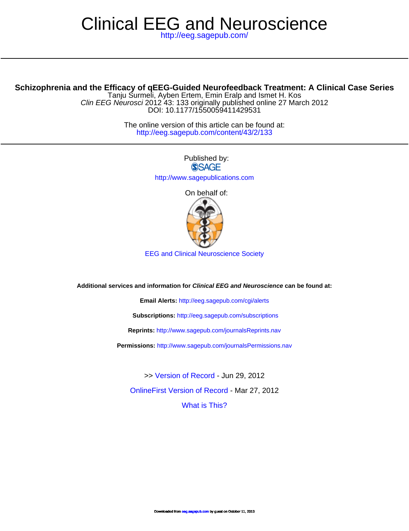## <http://eeg.sagepub.com/> Clinical EEG and Neuroscience

## **Schizophrenia and the Efficacy of qEEG-Guided Neurofeedback Treatment: A Clinical Case Series**

DOI: 10.1177/1550059411429531 Clin EEG Neurosci 2012 43: 133 originally published online 27 March 2012 Tanju Surmeli, Ayben Ertem, Emin Eralp and Ismet H. Kos

> <http://eeg.sagepub.com/content/43/2/133> The online version of this article can be found at:

> > Published by: **SSAGE** <http://www.sagepublications.com>

On behalf of:



EEG and Clinical Neuroscience Society

**Additional services and information for Clinical EEG and Neuroscience can be found at:**

**Email Alerts:** <http://eeg.sagepub.com/cgi/alerts>

**Subscriptions:** <http://eeg.sagepub.com/subscriptions>

**Reprints:** <http://www.sagepub.com/journalsReprints.nav>

**Permissions:** <http://www.sagepub.com/journalsPermissions.nav>

[What is This?](http://online.sagepub.com/site/sphelp/vorhelp.xhtml) [OnlineFirst Version of Record -](http://eeg.sagepub.com/content/early/2012/03/22/1550059411429531.full.pdf) Mar 27, 2012 >> [Version of Record -](http://eeg.sagepub.com/content/43/2/133.full.pdf) Jun 29, 2012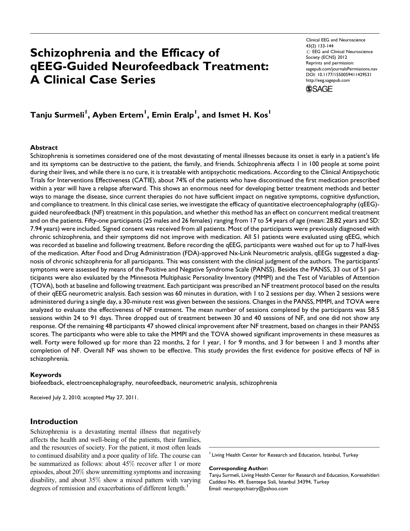# Schizophrenia and the Efficacy of qEEG-Guided Neurofeedback Treatment: A Clinical Case Series

Clinical EEG and Neuroscience 43(2) 133-144  $\odot$  EEG and Clinical Neuroscience Society (ECNS) 2012 Reprints and permission: sagepub.com/journalsPermissions.nav DOI: 10.1177/1550059411429531 http://eeg.sagepub.com



## Tanju Surmeli<sup>I</sup>, Ayben Ertem<sup>I</sup>, Emin Eralp<sup>I</sup>, and Ismet H. Kos<sup>I</sup>

#### Abstract

Schizophrenia is sometimes considered one of the most devastating of mental illnesses because its onset is early in a patient's life and its symptoms can be destructive to the patient, the family, and friends. Schizophrenia affects 1 in 100 people at some point during their lives, and while there is no cure, it is treatable with antipsychotic medications. According to the Clinical Antipsychotic Trials for Interventions Effectiveness (CATIE), about 74% of the patients who have discontinued the first medication prescribed within a year will have a relapse afterward. This shows an enormous need for developing better treatment methods and better ways to manage the disease, since current therapies do not have sufficient impact on negative symptoms, cognitive dysfunction, and compliance to treatment. In this clinical case series, we investigate the efficacy of quantitative electroencephalography (qEEG) guided neurofeedback (NF) treatment in this population, and whether this method has an effect on concurrent medical treatment and on the patients. Fifty-one participants (25 males and 26 females) ranging from 17 to 54 years of age (mean: 28.82 years and SD: 7.94 years) were included. Signed consent was received from all patients. Most of the participants were previously diagnosed with chronic schizophrenia, and their symptoms did not improve with medication. All 51 patients were evaluated using qEEG, which was recorded at baseline and following treatment. Before recording the qEEG, participants were washed out for up to 7 half-lives of the medication. After Food and Drug Administration (FDA)-approved Nx-Link Neurometric analysis, qEEGs suggested a diagnosis of chronic schizophrenia for all participants. This was consistent with the clinical judgment of the authors. The participants' symptoms were assessed by means of the Positive and Negative Syndrome Scale (PANSS). Besides the PANSS, 33 out of 51 participants were also evaluated by the Minnesota Multiphasic Personality Inventory (MMPI) and the Test of Variables of Attention (TOVA), both at baseline and following treatment. Each participant was prescribed an NF treatment protocol based on the results of their qEEG neurometric analysis. Each session was 60 minutes in duration, with 1 to 2 sessions per day. When 2 sessions were administered during a single day, a 30-minute rest was given between the sessions. Changes in the PANSS, MMPI, and TOVA were analyzed to evaluate the effectiveness of NF treatment. The mean number of sessions completed by the participants was 58.5 sessions within 24 to 91 days. Three dropped out of treatment between 30 and 40 sessions of NF, and one did not show any response. Of the remaining 48 participants 47 showed clinical improvement after NF treatment, based on changes in their PANSS scores. The participants who were able to take the MMPI and the TOVA showed significant improvements in these measures as well. Forty were followed up for more than 22 months, 2 for 1 year, 1 for 9 months, and 3 for between 1 and 3 months after completion of NF. Overall NF was shown to be effective. This study provides the first evidence for positive effects of NF in schizophrenia.

#### Keywords

biofeedback, electroencephalography, neurofeedback, neurometric analysis, schizophrenia

Received July 2, 2010; accepted May 27, 2011.

## Introduction

Schizophrenia is a devastating mental illness that negatively affects the health and well-being of the patients, their families, and the resources of society. For the patient, it most often leads to continued disability and a poor quality of life. The course can be summarized as follows: about 45% recover after 1 or more episodes, about 20% show unremitting symptoms and increasing disability, and about 35% show a mixed pattern with varying degrees of remission and exacerbations of different length.<sup>1</sup>

<sup>1</sup> Living Health Center for Research and Education, Istanbul, Turkey

Corresponding Author:

Tanju Surmeli, Living Health Center for Research and Education, Koresehitleri Caddesi No. 49, Esentepe Sisli, Istanbul 34394, Turkey Email: neuropsychiatry@yahoo.com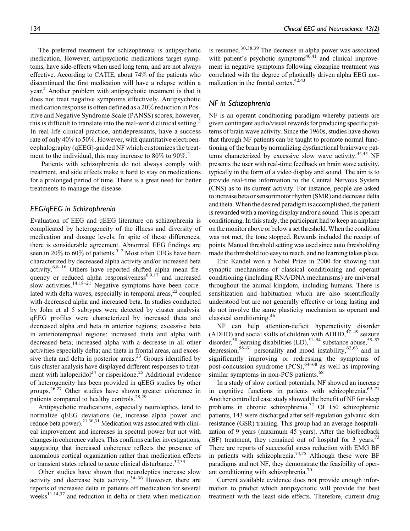The preferred treatment for schizophrenia is antipsychotic medication. However, antipsychotic medications target symptoms, have side-effects when used long term, and are not always effective. According to CATIE, about 74% of the patients who discontinued the first medication will have a relapse within a year.<sup>2</sup> Another problem with antipsychotic treatment is that it does not treat negative symptoms effectively. Antipsychotic medication response is often defined as a 20% reduction in Positive and Negative Syndrome Scale (PANSS) scores; however, this is difficult to translate into the real-world clinical setting.<sup>3</sup> In real-life clinical practice, antidepressants, have a success rate of only 40% to 50%. However, with quantitative electroencephalography (qEEG)-guided NF which customizes the treatment to the individual, this may increase to 80% to 90%. 4

Patients with schizophrenia do not always comply with treatment, and side effects make it hard to stay on medications for a prolonged period of time. There is a great need for better treatments to manage the disease.

## EEG/qEEG in Schizophrenia

Evaluation of EEG and qEEG literature on schizophrenia is complicated by heterogeneity of the illness and diversity of medication and dosage levels. In spite of these differences, there is considerable agreement. Abnormal EEG findings are seen in 20% to 60% of patients.<sup>5–7</sup> Most often EEGs have been characterized by decreased alpha activity and/or increased beta activity.<sup>6,8–16</sup> Others have reported shifted alpha mean frequency or reduced alpha responsiveness $6.9,17$  and increased slow activities. $14,18-21$  Negative symptoms have been correlated with delta waves, especially in temporal areas, $^{22}$  coupled with decreased alpha and increased beta. In studies conducted by John et al 5 subtypes were detected by cluster analysis. qEEG profiles were characterized by increased theta and decreased alpha and beta in anterior regions; excessive beta in anteriotemproal regions; increased theta and alpha with decreased beta; increased alpha with a decrease in all other activities especially delta; and theta in frontal areas, and excessive theta and delta in posterior areas.<sup>23</sup> Groups identified by this cluster analysis have displayed different responses to treatment with haloperidol<sup>24</sup> or risperidone.<sup>25</sup> Additional evidence of heterogeneity has been provided in qEEG studies by other groups.26,27 Other studies have shown greater coherence in patients compared to healthy controls.<sup>28,29</sup>

Antipsychotic medications, especially neuroleptics, tend to normalize qEEG deviations (ie, increase alpha power and reduce beta power).<sup>21,30,31</sup> Medication was associated with clinical improvement and increases in spectral power but not with changes in coherence values. This confirms earlier investigations, suggesting that increased coherence reflects the presence of anomalous cortical organization rather than medication effects or transient states related to acute clinical disturbance.<sup>32,33</sup>

Other studies have shown that neuroleptics increase slow activity and decrease beta activity.<sup>34–36</sup> However, there are reports of increased delta in patients off medication for several weeks<sup>11,14,37</sup> and reduction in delta or theta when medication is resumed.<sup>30,38,39</sup> The decrease in alpha power was associated with patient's psychotic symptoms $40,41$  and clinical improvement in negative symptoms following clozapine treatment was correlated with the degree of photically driven alpha EEG normalization in the frontal cortex. $42,43$ 

## NF in Schizophrenia

NF is an operant conditioning paradigm whereby patients are given contingent audio/visual rewards for producing specific patterns of brain wave activity. Since the 1960s, studies have shown that through NF patients can be taught to promote normal functioning of the brain by normalizing dysfunctional brainwave patterns characterized by excessive slow wave activity.<sup>44,45</sup> NF presents the user with real-time feedback on brain wave activity, typically in the form of a video display and sound. The aim is to provide real-time information to the Central Nervous System (CNS) as to its current activity. For instance, people are asked to increase beta or sensorimotor rhythm (SMR) and decrease delta and theta. When the desired paradigm is accomplished, the patient is rewarded with a moving display and/or a sound. This is operant conditioning. In this study, the participant had to keep an airplane on the monitor above or below a set threshold. When the condition was not met, the tone stopped. Rewards included the receipt of points. Manual threshold setting was used since auto thresholding made the threshold too easy to reach, and no learning takes place.

Eric Kandel won a Nobel Prize in 2000 for showing that synaptic mechanisms of classical conditioning and operant conditioning (including RNA/DNA mechanisms) are universal throughout the animal kingdom, including humans. There is sensitization and habituation which are also scientifically understood but are not generally effective or long lasting and do not involve the same plasticity mechanism as operant and classical conditioning.46

NF can help attention-deficit hyperactivity disorder (ADHD) and social skills of children with ADHD,  $47-49$  seizure  $\frac{1}{2}$ disorder,<sup>50</sup> learning disabilities (LD),<sup>51–54</sup> substance abuse,<sup>55–57</sup> depression,<sup>58–61</sup> personality and mood instability,<sup>62,63</sup> and in significantly improving or redressing the symptoms of post-concussion syndrome (PCS),64–68 as well as improving similar symptoms in non-PCS patients.<sup>68</sup>

In a study of slow cortical potentials, NF showed an increase in cognitive functions in patients with schizophrenia. $69-71$ Another controlled case study showed the benefit of NF for sleep problems in chronic schizophrenia.72 Of 150 schizophrenic patients, 143 were discharged after self-regulation galvanic skin resistance (GSR) training. This group had an average hospitalization of 9 years (maximum 45 years). After the biofeedback (BF) treatment, they remained out of hospital for 3 years.<sup>73</sup> There are reports of successful stress reduction with EMG BF in patients with schizophrenia.<sup>74,75</sup> Although these were BF paradigms and not NF, they demonstrate the feasibility of operant conditioning with schizophrenia.<sup>70</sup>

Current available evidence does not provide enough information to predict which antipsychotic will provide the best treatment with the least side effects. Therefore, current drug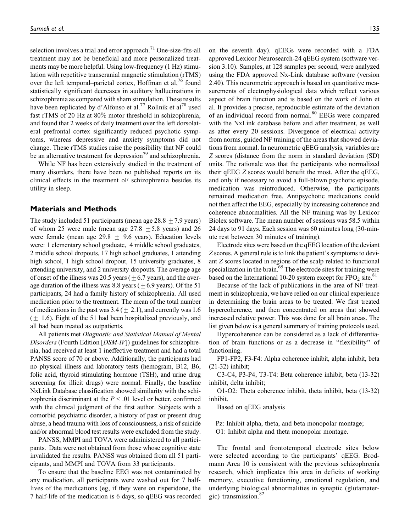selection involves a trial and error approach.<sup>71</sup> One-size-fits-all treatment may not be beneficial and more personalized treatments may be more helpful. Using low-frequency (1 Hz) stimulation with repetitive transcranial magnetic stimulation (rTMS) over the left temporal–parietal cortex, Hoffman et al,<sup>76</sup> found statistically significant decreases in auditory hallucinations in schizophrenia as compared with sham stimulation. These results have been replicated by d'Alfonso et al.<sup>77</sup> Rollnik et al<sup>78</sup> used fast rTMS of 20 Hz at 80% motor threshold in schizophrenia, and found that 2 weeks of daily treatment over the left dorsolateral prefrontal cortex significantly reduced psychotic symptoms, whereas depressive and anxiety symptoms did not change. These rTMS studies raise the possibility that NF could be an alternative treatment for depression<sup>79</sup> and schizophrenia.

While NF has been extensively studied in the treatment of many disorders, there have been no published reports on its clinical effects in the treatment oF schizophrenia besides its utility in sleep.

### Materials and Methods

The study included 51 participants (mean age  $28.8 \pm 7.9$  years) of whom 25 were male (mean age  $27.8 \pm 5.8$  years) and 26 were female (mean age 29.8  $\pm$  9.6 years). Education levels were: 1 elementary school graduate, 4 middle school graduates, 2 middle school dropouts, 17 high school graduates, 1 attending high school, 1 high school dropout, 15 university graduates, 8 attending university, and 2 university dropouts. The average age of onset of the illness was 20.5 years ( $\pm$  6.7 years), and the average duration of the illness was 8.8 years ( $\pm$  6.9 years). Of the 51 participants, 24 had a family history of schizophrenia. All used medication prior to the treatment. The mean of the total number of medications in the past was  $3.4 (\pm 2.1)$ , and currently was 1.6  $(\pm 1.6)$ . Eight of the 51 had been hospitalized previously, and all had been treated as outpatients.

All patients met Diagnostic and Statistical Manual of Mental Disorders (Fourth Edition [DSM-IV]) guidelines for schizophrenia, had received at least 1 ineffective treatment and had a total PANSS score of 70 or above. Additionally, the participants had no physical illness and laboratory tests (hemogram, B12, B6, folic acid, thyroid stimulating hormone (TSH), and urine drug screening for illicit drugs) were normal. Finally, the baseline NxLink Database classification showed similarity with the schizophrenia discriminant at the  $P < .01$  level or better, confirmed with the clinical judgment of the first author. Subjects with a comorbid psychiatric disorder, a history of past or present drug abuse, a head trauma with loss of consciousness, a risk of suicide and/or abnormal blood test results were excluded from the study.

PANSS, MMPI and TOVA were administered to all participants. Data were not obtained from those whose cognitive state invalidated the results. PANSS was obtained from all 51 participants, and MMPI and TOVA from 33 participants.

To ensure that the baseline EEG was not contaminated by any medication, all participants were washed out for 7 halflives of the medications (eg, if they were on risperidone, the 7 half-life of the medication is 6 days, so qEEG was recorded

on the seventh day). qEEGs were recorded with a FDA approved Lexicor Neurosearch-24 qEEG system (software version 3.10). Samples, at 128 samples per second, were analyzed using the FDA approved Nx-Link database software (version 2.40). This neurometric approach is based on quantitative measurements of electrophysiological data which reflect various aspect of brain function and is based on the work of John et al. It provides a precise, reproducible estimate of the deviation of an individual record from normal.<sup>80</sup> EEGs were compared with the NxLink database before and after treatment, as well as after every 20 sessions. Divergence of electrical activity from norms, guided NF training of the areas that showed deviations from normal. In neurometric qEEG analysis, variables are Z scores (distance from the norm in standard deviation (SD) units. The rationale was that the participants who normalized their qEEG Z scores would benefit the most. After the qEEG, and only if necessary to avoid a full-blown psychotic episode, medication was reintroduced. Otherwise, the participants remained medication free. Antipsychotic medications could not then affect the EEG, especially by increasing coherence and coherence abnormalities. All the NF training was by Lexicor Biolex software. The mean number of sessions was 58.5 within 24 days to 91 days. Each session was 60 minutes long (30-minute rest between 30 minutes of training).

Electrode sites were based on the qEEG location of the deviant Z scores. A general rule is to link the patient's symptoms to deviant Z scores located in regions of the scalp related to functional specialization in the brain. $65$  The electrode sites for training were based on the International 10-20 system except for  $FPO<sub>2</sub>$  site.<sup>81</sup>

Because of the lack of publications in the area of NF treatment in schizophrenia, we have relied on our clinical experience in determining the brain areas to be treated. We first treated hypercoherence, and then concentrated on areas that showed increased relative power. This was done for all brain areas. The list given below is a general summary of training protocols used.

Hypercoherence can be considered as a lack of differentiation of brain functions or as a decrease in ''flexibility'' of functioning.

FP1-FP2, F3-F4: Alpha coherence inhibit, alpha inhibit, beta (21-32) inhibit;

C3-C4, P3-P4, T3-T4: Beta coherence inhibit, beta (13-32) inhibit, delta inhibit;

O1-O2: Theta coherence inhibit, theta inhibit, beta (13-32) inhibit.

Based on qEEG analysis

Pz: Inhibit alpha, theta, and beta monopolar montage; O1: Inhibit alpha and theta monopolar montage.

The frontal and frontotemporal electrode sites below were selected according to the participants' qEEG. Brodmann Area 10 is consistent with the previous schizophrenia research, which implicates this area in deficits of working memory, executive functioning, emotional regulation, and underlying biological abnormalities in synaptic (glutamatergic) transmission.<sup>82</sup>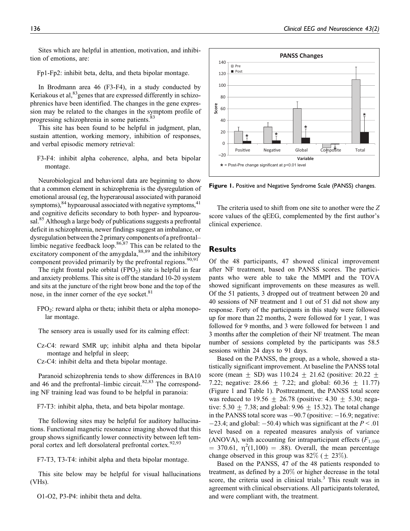Sites which are helpful in attention, motivation, and inhibition of emotions, are:

Fp1-Fp2: inhibit beta, delta, and theta bipolar montage.

In Brodmann area 46 (F3-F4), in a study conducted by Keriakous et al,  $83$  genes that are expressed differently in schizophrenics have been identified. The changes in the gene expression may be related to the changes in the symptom profile of progressing schizophrenia in some patients.<sup>83</sup>

This site has been found to be helpful in judgment, plan, sustain attention, working memory, inhibition of responses, and verbal episodic memory retrieval:

F3-F4: inhibit alpha coherence, alpha, and beta bipolar montage.

Neurobiological and behavioral data are beginning to show that a common element in schizophrenia is the dysregulation of emotional arousal (eg, the hyperarousal associated with paranoid symptoms), $84$  hypoarousal associated with negative symptoms, $41$ and cognitive deficits secondary to both hyper- and hypoarousal.<sup>85</sup> Although a large body of publications suggests a prefrontal deficit in schizophrenia, newer findings suggest an imbalance, or dysregulation between the 2 primary components of a prefrontal– limbic negative feedback loop.<sup>86,87</sup> This can be related to the excitatory component of the amygdala,  $88,89$  and the inhibitory component provided primarily by the prefrontal regions.  $90,91$ 

The right frontal pole orbital  $(FPO<sub>2</sub>)$  site is helpful in fear and anxiety problems. This site is off the standard 10-20 system and sits at the juncture of the right brow bone and the top of the nose, in the inner corner of the eye socket.<sup>81</sup>

FPO<sub>2</sub>: reward alpha or theta; inhibit theta or alpha monopolar montage.

The sensory area is usually used for its calming effect:

Cz-C4: reward SMR up; inhibit alpha and theta bipolar montage and helpful in sleep;

Cz-C4: inhibit delta and theta bipolar montage.

Paranoid schizophrenia tends to show differences in BA10 and 46 and the prefrontal–limbic circuit. $82,83$  The corresponding NF training lead was found to be helpful in paranoia:

F7-T3: inhibit alpha, theta, and beta bipolar montage.

The following sites may be helpful for auditory hallucinations. Functional magnetic resonance imaging showed that this group shows significantly lower connectivity between left temporal cortex and left dorsolateral prefrontal cortex.<sup>92,93</sup>

F7-T3, T3-T4: inhibit alpha and theta bipolar montage.

This site below may be helpful for visual hallucinations (VHs).

O1-O2, P3-P4: inhibit theta and delta.



Figure 1. Positive and Negative Syndrome Scale (PANSS) changes.

The criteria used to shift from one site to another were the Z score values of the qEEG, complemented by the first author's clinical experience.

### **Results**

Of the 48 participants, 47 showed clinical improvement after NF treatment, based on PANSS scores. The participants who were able to take the MMPI and the TOVA showed significant improvements on these measures as well. Of the 51 patients, 3 dropped out of treatment between 20 and 40 sessions of NF treatment and 1 out of 51 did not show any response. Forty of the participants in this study were followed up for more than 22 months, 2 were followed for 1 year, 1 was followed for 9 months, and 3 were followed for between 1 and 3 months after the completion of their NF treatment. The mean number of sessions completed by the participants was 58.5 sessions within 24 days to 91 days.

Based on the PANSS, the group, as a whole, showed a statistically significant improvement. At baseline the PANSS total score (mean + SD) was  $110.24 + 21.62$  (positive:  $20.22 +$ 7.22; negative: 28.66  $\pm$  7.22; and global: 60.36  $\pm$  11.77) (Figure 1 and Table 1). Posttreatment, the PANSS total score was reduced to  $19.56 + 26.78$  (positive:  $4.30 + 5.30$ ; negative: 5.30  $\pm$  7.38; and global: 9.96  $\pm$  15.32). The total change in the PANSS total score was  $-90.7$  (positive:  $-16.9$ ; negative:  $-23.4$ ; and global:  $-50.4$ ) which was significant at the  $P < 0.01$ level based on a repeated measures analysis of variance (ANOVA), with accounting for intraparticipant effects  $(F_{1,100})$  $= 370.61$ ,  $\eta^2(1,100) = .88$ ). Overall, the mean percentage change observed in this group was  $82\%$  ( $\pm 23\%$ ).

Based on the PANSS, 47 of the 48 patients responded to treatment, as defined by a 20% or higher decrease in the total score, the criteria used in clinical trials. $3$  This result was in agreement with clinical observations. All participants tolerated, and were compliant with, the treatment.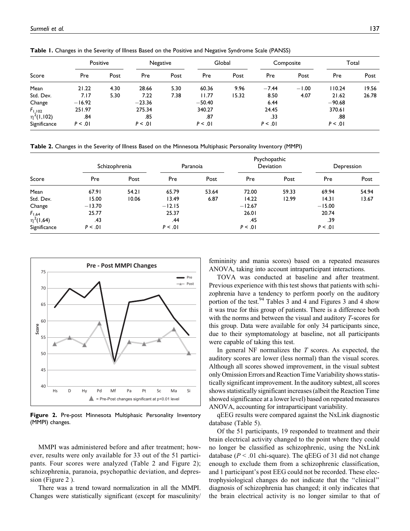|                 | Positive |      |          | Negative |          | Global |         | Composite | Total    |       |
|-----------------|----------|------|----------|----------|----------|--------|---------|-----------|----------|-------|
| Score           | Pre      | Post | Pre      | Post     | Pre      | Post   | Pre     | Post      | Pre      | Post  |
| Mean            | 21.22    | 4.30 | 28.66    | 5.30     | 60.36    | 9.96   | $-7.44$ | $-1.00$   | 110.24   | 19.56 |
| Std. Dev.       | 7.17     | 5.30 | 7.22     | 7.38     | 11.77    | 15.32  | 8.50    | 4.07      | 21.62    | 26.78 |
| Change          | $-16.92$ |      | $-23.36$ |          | $-50.40$ |        | 6.44    |           | $-90.68$ |       |
| $F_{1,102}$     | 251.97   |      | 275.34   |          | 340.27   |        | 24.45   |           | 370.61   |       |
| $\eta^2(1,102)$ | .84      |      | .85      |          | .87      |        | .33     |           | .88      |       |
| Significance    | P < 0.01 |      | P < 0.01 |          | P < 0.01 |        | P < .01 |           | P < .01  |       |

Table 1. Changes in the Severity of Illness Based on the Positive and Negative Syndrome Scale (PANSS)

Table 2. Changes in the Severity of Illness Based on the Minnesota Multiphasic Personality Inventory (MMPI)

|                              |          | Schizophrenia |          | Paranoia |          | Psychopathic<br><b>Deviation</b> |          | Depression |
|------------------------------|----------|---------------|----------|----------|----------|----------------------------------|----------|------------|
| Score                        | Pre      | Post          | Pre      | Post     | Pre      | Post                             | Pre      | Post       |
| Mean                         | 67.91    | 54.21         | 65.79    | 53.64    | 72.00    | 59.33                            | 69.94    | 54.94      |
| Std. Dev.                    | 15.00    | 10.06         | 13.49    | 6.87     | 14.22    | 12.99                            | 14.31    | 13.67      |
| Change                       | $-13.70$ |               | $-12.15$ |          | $-12.67$ |                                  | $-15.00$ |            |
|                              | 25.77    |               | 25.37    |          | 26.01    |                                  | 20.74    |            |
| $F_{1,64}$<br>$\eta^2(1,64)$ | .43      |               | .44      |          | .45      |                                  | .39      |            |
| Significance                 | P < .01  |               | P < .01  |          | P < 0.01 |                                  | P < .01  |            |



Figure 2. Pre-post Minnesota Multiphasic Personality Inventory (MMPI) changes.

MMPI was administered before and after treatment; however, results were only available for 33 out of the 51 participants. Four scores were analyzed (Table 2 and Figure 2); schizophrenia, paranoia, psychopathic deviation, and depression (Figure 2 ).

There was a trend toward normalization in all the MMPI. Changes were statistically significant (except for masculinity/

femininity and mania scores) based on a repeated measures ANOVA, taking into account intraparticipant interactions.

TOVA was conducted at baseline and after treatment. Previous experience with this test shows that patients with schizophrenia have a tendency to perform poorly on the auditory portion of the test.<sup>94</sup> Tables 3 and 4 and Figures 3 and 4 show it was true for this group of patients. There is a difference both with the norms and between the visual and auditory T-scores for this group. Data were available for only 34 participants since, due to their symptomatology at baseline, not all participants were capable of taking this test.

In general NF normalizes the  $T$  scores. As expected, the auditory scores are lower (less normal) than the visual scores. Although all scores showed improvement, in the visual subtest only Omission Errors and Reaction Time Variability shows statistically significant improvement. In the auditory subtest, all scores shows statistically significant increases (albeit the Reaction Time showed significance at a lower level) based on repeated measures ANOVA, accounting for intraparticipant variability.

qEEG results were compared against the NxLink diagnostic database (Table 5).

Of the 51 participants, 19 responded to treatment and their brain electrical activity changed to the point where they could no longer be classified as schizophrenic, using the NxLink database ( $P < 0.01$  chi-square). The qEEG of 31 did not change enough to exclude them from a schizophrenic classification, and 1 participant's post EEG could not be recorded. These electrophysiological changes do not indicate that the ''clinical'' diagnosis of schizophrenia has changed; it only indicates that the brain electrical activity is no longer similar to that of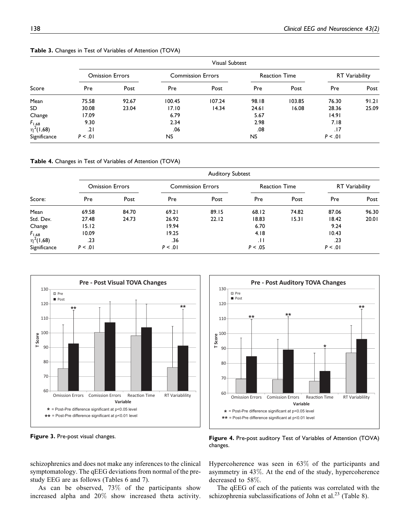|                              |          |                        |        | <b>Visual Subtest</b>    |       |                      |          |                       |
|------------------------------|----------|------------------------|--------|--------------------------|-------|----------------------|----------|-----------------------|
|                              |          | <b>Omission Errors</b> |        | <b>Commission Errors</b> |       | <b>Reaction Time</b> |          | <b>RT</b> Variability |
| Score                        | Pre      | Post                   | Pre    | Post                     | Pre   | Post                 | Pre      | Post                  |
| Mean                         | 75.58    | 92.67                  | 100.45 | 107.24                   | 98.18 | 103.85               | 76.30    | 91.21                 |
| SD                           | 30.08    | 23.04                  | 17.10  | 14.34                    | 24.61 | 16.08                | 28.36    | 25.09                 |
| Change                       | 17.09    |                        | 6.79   |                          | 5.67  |                      | 14.91    |                       |
|                              | 9.30     |                        | 2.34   |                          | 2.98  |                      | 7.18     |                       |
| $F_{1,68}$<br>$\eta^2(1,68)$ | .21      |                        | .06    |                          | .08   |                      | .17      |                       |
| Significance                 | P < 0.01 |                        | NS.    |                          | NS.   |                      | P < 0.01 |                       |

Table 3. Changes in Test of Variables of Attention (TOVA)

Table 4. Changes in Test of Variables of Attention (TOVA)

|                              |         |                        |         | <b>Auditory Subtest</b>  |         |                      |          |                       |
|------------------------------|---------|------------------------|---------|--------------------------|---------|----------------------|----------|-----------------------|
|                              |         | <b>Omission Errors</b> |         | <b>Commission Errors</b> |         | <b>Reaction Time</b> |          | <b>RT</b> Variability |
| Score:                       | Pre     | Post                   | Pre     | Post                     | Pre     | Post                 | Pre      | Post                  |
| Mean                         | 69.58   | 84.70                  | 69.21   | 89.15                    | 68.12   | 74.82                | 87.06    | 96.30                 |
| Std. Dev.                    | 27.48   | 24.73                  | 26.92   | 22.12                    | 18.83   | 15.31                | 18.42    | 20.01                 |
| Change                       | 15.12   |                        | 19.94   |                          | 6.70    |                      | 9.24     |                       |
|                              | 10.09   |                        | 19.25   |                          | 4.18    |                      | 10.43    |                       |
| $F_{1,68}$<br>$\eta^2(1,68)$ | .23     |                        | .36     |                          | .11     |                      | .23      |                       |
| Significance                 | P < .01 |                        | P < .01 |                          | P < .05 |                      | P < 0.01 |                       |



60 70 80 90 e <sup>100</sup><br>**P** so 110 120 130 **Pre - Post Auditory TOVA Changes** Pre Post **\*\* \* \*\* \*\*** Omission Errors Comission Errors Reaction Time **RT Variablility Variable \*** = Post-Pre difference significant at p<0.05 level **\*\*** = Post-Pre difference significant at p<0.01 level

Figure 3. Pre-post visual changes.

Figure 4. Pre-post auditory Test of Variables of Attention (TOVA) changes.

schizophrenics and does not make any inferences to the clinical symptomatology. The qEEG deviations from normal of the prestudy EEG are as follows (Tables 6 and 7).

As can be observed, 73% of the participants show increased alpha and 20% show increased theta activity. Hypercoherence was seen in 63% of the participants and asymmetry in 43%. At the end of the study, hypercoherence decreased to 58%.

The qEEG of each of the patients was correlated with the schizophrenia subclassifications of John et al.<sup>23</sup> (Table 8).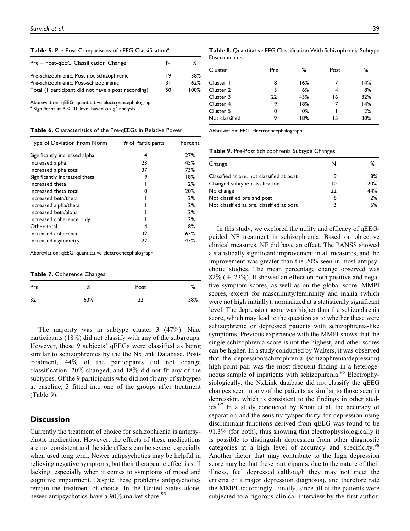Table 5. Pre-Post Comparisons of qEEG Classification<sup>a</sup>

| Pre – Post-gEEG Classification Change               | N  | ℅    |
|-----------------------------------------------------|----|------|
| Pre-schizophrenic, Post not schizophrenic           | 19 | 38%  |
| Pre-schizophrenic, Post-schizophrenic               | 31 | 62%  |
| Total (I participant did not have a post recording) | 50 | 100% |

Abbreviation: qEEG, quantitative electroencephalograph.

Significant at  $P < 01$  level based on  $\chi^2$  analysis.

Table 6. Characteristics of the Pre-qEEGs in Relative Power

| Type of Deviation From Norm   | # of Participants | Percent |
|-------------------------------|-------------------|---------|
| Significantly increased alpha | 4                 | 27%     |
| Increased alpha               | 23                | 45%     |
| Increased alpha total         | 37                | 73%     |
| Significantly increased theta | 9                 | 18%     |
| Increased theta               |                   | 2%      |
| Increased theta total         | 10                | 20%     |
| Increased beta/theta          |                   | 2%      |
| Increased alpha/theta         |                   | 2%      |
| Increased beta/alpha          |                   | 2%      |
| Increased coherence only      |                   | 2%      |
| Other total                   | 4                 | 8%      |
| Increased coherence           | 32                | 63%     |
| Increased asymmetry           | 22                | 43%     |

Abbreviation: qEEG, quantitative electroencephalograph.

Table 7. Coherence Changes

| Pre | %   | Post | %   |
|-----|-----|------|-----|
| 32  | 63% | າາ   | 58% |

The majority was in subtype cluster 3 (47%). Nine participants (18%) did not classify with any of the subgroups. However, these 9 subjects' qEEGs were classified as being similar to schizophrenics by the the NxLink Database. Posttreatment, 44% of the participants did not change classification, 20% changed, and 18% did not fit any of the subtypes. Of the 9 participants who did not fit any of subtypes at baseline, 3 fitted into one of the groups after treatment (Table 9).

## **Discussion**

Currently the treatment of choice for schizophrenia is antipsychotic medication. However, the effects of these medications are not consistent and the side effects can be severe, especially when used long term. Newer antipsychotics may be helpful in relieving negative symptoms, but their therapeutic effect is still lacking, especially when it comes to symptoms of mood and cognitive impairment. Despite these problems antipsychotics remain the treatment of choice. In the United States alone, newer antipsychotics have a  $90\%$  market share.<sup>95</sup>

Table 8. Quantitative EEG Classification With Schizophrenia Subtype **Discriminants** 

| Cluster        | Pre | ℅   | Post | ℅   |
|----------------|-----|-----|------|-----|
| Cluster 1      | 8   | 16% |      | 14% |
| Cluster 2      | 3   | 6%  | 4    | 8%  |
| Cluster 3      | 22  | 43% | 16   | 32% |
| Cluster 4      | 9   | 18% | 7    | 14% |
| Cluster 5      | O   | 0%  |      | 2%  |
| Not classified | 9   | 18% | 15   | 30% |

Abbreviation: EEG, electroencephalograph.

Table 9. Pre-Post Schizophrenia Subtype Changes

| Change                                    | N  | ℅   |
|-------------------------------------------|----|-----|
| Classified at pre, not classified at post |    | 18% |
| Changed subtype classification            | 10 | 20% |
| No change                                 | 22 | 44% |
| Not classified pre and post               | 6  | 12% |
| Not classified at pre, classified at post | ২  | 6%  |

In this study, we explored the utility and efficacy of qEEGguided NF treatment in schizophrenia. Based on objective clinical measures, NF did have an effect. The PANSS showed a statistically significant improvement in all measures, and the improvement was greater than the 20% seen in most antipsychotic studies. The mean percentage change observed was  $82\%$  (+ 23%). It showed an effect on both positive and negative symptom scores, as well as on the global score. MMPI scores, except for masculinity/femininity and mania (which were not high initially), normalized at a statistically significant level. The depression score was higher than the schizophrenia score, which may lead to the question as to whether these were schizophrenic or depressed patients with schizophrenia-like symptoms. Previous experience with the MMPI shows that the single schizophrenia score is not the highest, and other scores can be higher. In a study conducted by Walters, it was observed that the depression/schizophrenia (schizophrenia/depression) high-point pair was the most frequent finding in a heterogeneous sample of inpatients with schizophrenia.<sup>96</sup> Electrophysiologically, the NxLink database did not classify the qEEG changes seen in any of the patients as similar to those seen in depression, which is consistent to the findings in other studies.<sup>97</sup> In a study conducted by Knott et al, the accuracy of separation and the sensitivity/specificity for depression using discriminant functions derived from qEEG was found to be 91.3% (for both), thus showing that electrophysiologically it is possible to distinguish depression from other diagnostic categories at a high level of accuracy and specificity.<sup>98</sup> Another factor that may contribute to the high depression score may be that these participants, due to the nature of their illness, feel depressed (although they may not meet the criteria of a major depression diagnosis), and therefore rate the MMPI accordingly. Finally, since all of the patients were subjected to a rigorous clinical interview by the first author,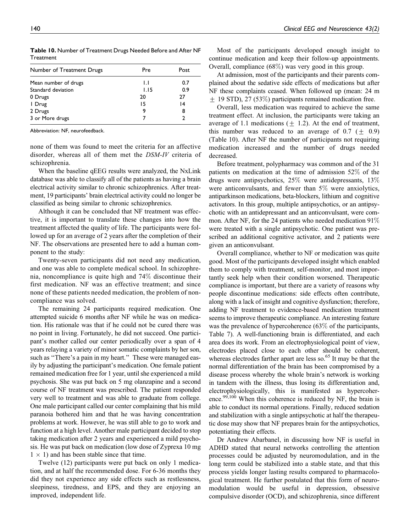| Number of Treatment Drugs | Pre          | Post |
|---------------------------|--------------|------|
| Mean number of drugs      | $\mathsf{L}$ | 0.7  |
| Standard deviation        | 1.15         | 0.9  |
| 0 Drugs                   | 20           | 27   |
| I Drug                    | 15           | 14   |
| 2 Drugs                   | 9            | 8    |
| 3 or More drugs           |              |      |

Table 10. Number of Treatment Drugs Needed Before and After NF **Treatment** 

Abbreviation: NF, neurofeedback.

none of them was found to meet the criteria for an affective disorder, whereas all of them met the DSM-IV criteria of schizophrenia.

When the baseline qEEG results were analyzed, the NxLink database was able to classify all of the patients as having a brain electrical activity similar to chronic schizophrenics. After treatment, 19 participants' brain electrical activity could no longer be classified as being similar to chronic schizophrenics.

Although it can be concluded that NF treatment was effective, it is important to translate these changes into how the treatment affected the quality of life. The participants were followed up for an average of 2 years after the completion of their NF. The observations are presented here to add a human component to the study:

Twenty-seven participants did not need any medication, and one was able to complete medical school. In schizophrenia, noncompliance is quite high and 74% discontinue their first medication. NF was an effective treatment; and since none of these patients needed medication, the problem of noncompliance was solved.

The remaining 24 participants required medication. One attempted suicide 6 months after NF while he was on medication. His rationale was that if he could not be cured there was no point in living. Fortunately, he did not succeed. One participant's mother called our center periodically over a span of 4 years relaying a variety of minor somatic complaints by her son, such as "There's a pain in my heart." These were managed easily by adjusting the participant's medication. One female patient remained medication free for 1 year, until she experienced a mild psychosis. She was put back on 5 mg olanzapine and a second course of NF treatment was prescribed. The patient responded very well to treatment and was able to graduate from college. One male participant called our center complaining that his mild paranoia bothered him and that he was having concentration problems at work. However, he was still able to go to work and function at a high level. Another male participant decided to stop taking medication after 2 years and experienced a mild psychosis. He was put back on medication (low dose of Zyprexa 10 mg  $1 \times 1$ ) and has been stable since that time.

Twelve (12) participants were put back on only 1 medication, and at half the recommended dose. For 6-36 months they did they not experience any side effects such as restlessness, sleepiness, tiredness, and EPS, and they are enjoying an improved, independent life.

Most of the participants developed enough insight to continue medication and keep their follow-up appointments. Overall, compliance (68%) was very good in this group.

At admission, most of the participants and their parents complained about the sedative side effects of medications but after NF these complaints ceased. When followed up (mean: 24 m + 19 STD), 27 (53%) participants remained medication free.

Overall, less medication was required to achieve the same treatment effect. At inclusion, the participants were taking an average of 1.1 medications ( $\pm$  1.2). At the end of treatment, this number was reduced to an average of 0.7 ( $\pm$  0.9) (Table 10). After NF the number of participants not requiring medication increased and the number of drugs needed decreased.

Before treatment, polypharmacy was common and of the 31 patients on medication at the time of admission 52% of the drugs were antipsychotics, 25% were antidepressants, 13% were anticonvulsants, and fewer than 5% were anxiolytics, antiparkinson medications, beta-blockers, lithium and cognitive activators. In this group, multiple antipsychotics, or an antipsychotic with an antidepressant and an anticonvulsant, were common. After NF, for the 24 patients who needed medication 91% were treated with a single antipsychotic. One patient was prescribed an additional cognitive activator, and 2 patients were given an anticonvulsant.

Overall compliance, whether to NF or medication was quite good. Most of the participants developed insight which enabled them to comply with treatment, self-monitor, and most importantly seek help when their condition worsened. Therapeutic compliance is important, but there are a variety of reasons why people discontinue medications: side effects often contribute, along with a lack of insight and cognitive dysfunction; therefore, adding NF treatment to evidence-based medication treatment seems to improve therapeutic compliance. An interesting feature was the prevalence of hypercoherence (63% of the participants, Table 7). A well-functioning brain is differentiated, and each area does its work. From an electrophysiological point of view, electrodes placed close to each other should be coherent, whereas electrodes farther apart are less so. $65$  It may be that the normal differentiation of the brain has been compromised by a disease process whereby the whole brain's network is working in tandem with the illness, thus losing its differentiation and, electrophysiologically, this is manifested as hypercoherence.<sup>99,100</sup> When this coherence is reduced by NF, the brain is able to conduct its normal operations. Finally, reduced sedation and stabilization with a single antipsychotic at half the therapeutic dose may show that NF prepares brain for the antipsychotics, potentiating their effects.

Dr Andrew Abarbanel, in discussing how NF is useful in ADHD stated that neural networks controlling the attention processes could be adjusted by neuromodulation, and in the long term could be stabilized into a stable state, and that this process yields longer lasting results compared to pharmacological treatment. He further postulated that this form of neuromodulation would be useful in depression, obsessive compulsive disorder (OCD), and schizophrenia, since different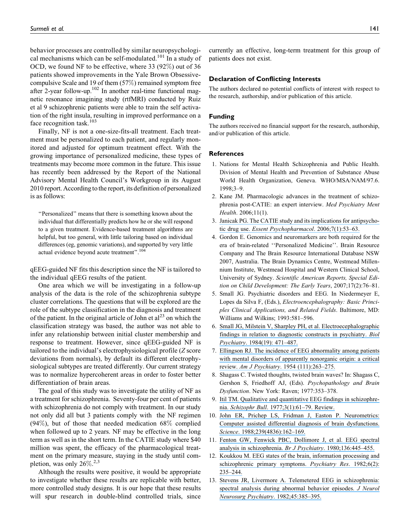behavior processes are controlled by similar neuropsychological mechanisms which can be self-modulated.<sup>101</sup> In a study of OCD, we found NF to be effective, where 33 (92%) out of 36 patients showed improvements in the Yale Brown Obsessivecompulsive Scale and 19 of them (57%) remained symptom free after 2-year follow-up. $102$  In another real-time functional magnetic resonance imagining study (rtfMRI) conducted by Ruiz et al 9 schizophrenic patients were able to train the self activation of the right insula, resulting in improved performance on a face recognition task.<sup>103</sup>

Finally, NF is not a one-size-fits-all treatment. Each treatment must be personalized to each patient, and regularly monitored and adjusted for optimum treatment effect. With the growing importance of personalized medicine, these types of treatments may become more common in the future. This issue has recently been addressed by the Report of the National Advisory Mental Health Council's Workgroup in its August 2010 report. According to the report, its definition of personalized is as follows:

''Personalized'' means that there is something known about the individual that differentially predicts how he or she will respond to a given treatment. Evidence-based treatment algorithms are helpful, but too general, with little tailoring based on individual differences (eg, genomic variations), and supported by very little actual evidence beyond acute treatment''.104

qEEG-guided NF fits this description since the NF is tailored to the individual qEEG results of the patient.

One area which we will be investigating in a follow-up analysis of the data is the role of the schizophrenia subtype cluster correlations. The questions that will be explored are the role of the subtype classification in the diagnosis and treatment of the patient. In the original article of John et  $al<sup>23</sup>$  on which the classification strategy was based, the author was not able to infer any relationship between initial cluster membership and response to treatment. However, since qEEG-guided NF is tailored to the individual's electrophysiological profile (Z score deviations from normals), by default its different electrophysiological subtypes are treated differently. Our current strategy was to normalize hypercoherent areas in order to foster better differentiation of brain areas.

The goal of this study was to investigate the utility of NF as a treatment for schizophrenia. Seventy-four per cent of patients with schizophrenia do not comply with treatment. In our study not only did all but 3 patients comply with the NF regimen (94%), but of those that needed medication 68% complied when followed up to 2 years. NF may be effective in the long term as well as in the short term. In the CATIE study where \$40 million was spent, the efficacy of the pharmacological treatment on the primary measure, staying in the study until completion, was only  $26\%$ <sup>2,3</sup>

Although the results were positive, it would be appropriate to investigate whether these results are replicable with better, more controlled study designs. It is our hope that these results will spur research in double-blind controlled trials, since

currently an effective, long-term treatment for this group of patients does not exist.

#### Declaration of Conflicting Interests

The authors declared no potential conflicts of interest with respect to the research, authorship, and/or publication of this article.

#### Funding

The authors received no financial support for the research, authorship, and/or publication of this article.

#### **References**

- 1. Nations for Mental Health Schizophrenia and Public Health. Division of Mental Health and Prevention of Substance Abuse World Health Organization, Geneva. WHO/MSA/NAM/97.6. 1998;3–9.
- 2. Kane JM. Pharmacologic advances in the treatment of schizophrenia post-CATIE: an expert interview. Med Psychiatry Ment Health. 2006;11(1).
- 3. [Janicak PG. The CATIE study and its implications for antipsycho-](https://www.researchgate.net/publication/6805724_The_CATIE_study_and_its_implications_for_antipsychotic_drug_use?el=1_x_8&enrichId=rgreq-9034d0741eec4b69bf19e12dc3a74984-XXX&enrichSource=Y292ZXJQYWdlOzIyNzQwMTg3MjtBUzoxMDM0MjgwMTM0Mjg3NDFAMTQwMTY3MDU2ODMwNA==)tic drug use. [Essent Psychopharmacol](https://www.researchgate.net/publication/6805724_The_CATIE_study_and_its_implications_for_antipsychotic_drug_use?el=1_x_8&enrichId=rgreq-9034d0741eec4b69bf19e12dc3a74984-XXX&enrichSource=Y292ZXJQYWdlOzIyNzQwMTg3MjtBUzoxMDM0MjgwMTM0Mjg3NDFAMTQwMTY3MDU2ODMwNA==). 2006;7(1):53-63.
- 4. Gordon E. Genomics and neuromarkers are both required for the era of brain-related ''Personalized Medicine''. Brain Resource Company and The Brain Resource International Database NSW 2007, Australia. The Brain Dynamics Centre, Westmead Millennium Institute, Westmead Hospital and Western Clinical School, University of Sydney. Scientific American Reports, Special Edition on Child Development: The Early Years, 2007;17(2):76–81.
- 5. Small JG. Psychiatric disorders and EEG. In Niedermeyer E, Lopes da Silva F, (Eds.), Electroencephalography: Basic Principles Clinical Applications, and Related Fields. Baltimore, MD: Williams and Wilkins; 1993:581–596.
- 6. [Small JG, Milstein V, Sharpley PH, et al. Electroecephalographic](https://www.researchgate.net/publication/16466156_Electroencephalographic_findings_in_relation_to_diagnostic_constructs_in_psychiatry?el=1_x_8&enrichId=rgreq-9034d0741eec4b69bf19e12dc3a74984-XXX&enrichSource=Y292ZXJQYWdlOzIyNzQwMTg3MjtBUzoxMDM0MjgwMTM0Mjg3NDFAMTQwMTY3MDU2ODMwNA==) [findings in relation to diagnostic constructs in psychiatry.](https://www.researchgate.net/publication/16466156_Electroencephalographic_findings_in_relation_to_diagnostic_constructs_in_psychiatry?el=1_x_8&enrichId=rgreq-9034d0741eec4b69bf19e12dc3a74984-XXX&enrichSource=Y292ZXJQYWdlOzIyNzQwMTg3MjtBUzoxMDM0MjgwMTM0Mjg3NDFAMTQwMTY3MDU2ODMwNA==) Biol Psychiatry[. 1984\(19\): 471–487.](https://www.researchgate.net/publication/16466156_Electroencephalographic_findings_in_relation_to_diagnostic_constructs_in_psychiatry?el=1_x_8&enrichId=rgreq-9034d0741eec4b69bf19e12dc3a74984-XXX&enrichSource=Y292ZXJQYWdlOzIyNzQwMTg3MjtBUzoxMDM0MjgwMTM0Mjg3NDFAMTQwMTY3MDU2ODMwNA==)
- 7. [Ellingson RJ. The incidence of EEG abnormality among patients](https://www.researchgate.net/publication/10343670_The_incidence_of_EEG_abnormality_among_patients_with_mental_disorders_of_apparently_nonorganic_origin_a_critical_review?el=1_x_8&enrichId=rgreq-9034d0741eec4b69bf19e12dc3a74984-XXX&enrichSource=Y292ZXJQYWdlOzIyNzQwMTg3MjtBUzoxMDM0MjgwMTM0Mjg3NDFAMTQwMTY3MDU2ODMwNA==) [with mental disorders of apparently nonorganic origin: a critical](https://www.researchgate.net/publication/10343670_The_incidence_of_EEG_abnormality_among_patients_with_mental_disorders_of_apparently_nonorganic_origin_a_critical_review?el=1_x_8&enrichId=rgreq-9034d0741eec4b69bf19e12dc3a74984-XXX&enrichSource=Y292ZXJQYWdlOzIyNzQwMTg3MjtBUzoxMDM0MjgwMTM0Mjg3NDFAMTQwMTY3MDU2ODMwNA==) review. Am J Psychiatry. 1954 (111):263-275.
- 8. Shagass C. Twisted thoughts, twisted brain waves? In: Shagass C, Gershon S, Friedhoff AJ, (Eds). Psychopathology and Brain Dysfunction. New York: Raven; 1977:353–378.
- 9. [Itil TM. Qualitative and quantitative EEG findings in schizophre](https://www.researchgate.net/publication/22811398_Qualitative_and_Quantitative_EEG_Findings_in_Schizophrenia?el=1_x_8&enrichId=rgreq-9034d0741eec4b69bf19e12dc3a74984-XXX&enrichSource=Y292ZXJQYWdlOzIyNzQwMTg3MjtBUzoxMDM0MjgwMTM0Mjg3NDFAMTQwMTY3MDU2ODMwNA==)nia. Schizophr Bull[. 1977;3\(1\):61–79. Review.](https://www.researchgate.net/publication/22811398_Qualitative_and_Quantitative_EEG_Findings_in_Schizophrenia?el=1_x_8&enrichId=rgreq-9034d0741eec4b69bf19e12dc3a74984-XXX&enrichSource=Y292ZXJQYWdlOzIyNzQwMTg3MjtBUzoxMDM0MjgwMTM0Mjg3NDFAMTQwMTY3MDU2ODMwNA==)
- 10. [John ER, Prichep LS, Fridman J, Easton P. Neurometrics:](https://www.researchgate.net/publication/19819094_Neurometrics_Computer-Assisted_Differential_Diagnosis_of_Brain_Dysfunctions?el=1_x_8&enrichId=rgreq-9034d0741eec4b69bf19e12dc3a74984-XXX&enrichSource=Y292ZXJQYWdlOzIyNzQwMTg3MjtBUzoxMDM0MjgwMTM0Mjg3NDFAMTQwMTY3MDU2ODMwNA==) [Computer assisted differential diagnosis of brain dysfunctions.](https://www.researchgate.net/publication/19819094_Neurometrics_Computer-Assisted_Differential_Diagnosis_of_Brain_Dysfunctions?el=1_x_8&enrichId=rgreq-9034d0741eec4b69bf19e12dc3a74984-XXX&enrichSource=Y292ZXJQYWdlOzIyNzQwMTg3MjtBUzoxMDM0MjgwMTM0Mjg3NDFAMTQwMTY3MDU2ODMwNA==) Science[. 1988;239\(4836\):162–169.](https://www.researchgate.net/publication/19819094_Neurometrics_Computer-Assisted_Differential_Diagnosis_of_Brain_Dysfunctions?el=1_x_8&enrichId=rgreq-9034d0741eec4b69bf19e12dc3a74984-XXX&enrichSource=Y292ZXJQYWdlOzIyNzQwMTg3MjtBUzoxMDM0MjgwMTM0Mjg3NDFAMTQwMTY3MDU2ODMwNA==)
- 11. [Fenton GW, Fenwick PBC, Dollimore J, et al. EEG spectral](https://www.researchgate.net/publication/15811350_EEG_spectral_analysis_in_schizophrenia?el=1_x_8&enrichId=rgreq-9034d0741eec4b69bf19e12dc3a74984-XXX&enrichSource=Y292ZXJQYWdlOzIyNzQwMTg3MjtBUzoxMDM0MjgwMTM0Mjg3NDFAMTQwMTY3MDU2ODMwNA==) [analysis in schizophrenia.](https://www.researchgate.net/publication/15811350_EEG_spectral_analysis_in_schizophrenia?el=1_x_8&enrichId=rgreq-9034d0741eec4b69bf19e12dc3a74984-XXX&enrichSource=Y292ZXJQYWdlOzIyNzQwMTg3MjtBUzoxMDM0MjgwMTM0Mjg3NDFAMTQwMTY3MDU2ODMwNA==) Br J Psychiatry. 1980;136:445–455.
- 12. [Koukkou M. EEG states of the brain, information processing and](https://www.researchgate.net/publication/16244496_EEG_states_of_the_brain_information_processing_and_schizophrenic_primary_symptoms?el=1_x_8&enrichId=rgreq-9034d0741eec4b69bf19e12dc3a74984-XXX&enrichSource=Y292ZXJQYWdlOzIyNzQwMTg3MjtBUzoxMDM0MjgwMTM0Mjg3NDFAMTQwMTY3MDU2ODMwNA==) [schizophrenic primary symptoms.](https://www.researchgate.net/publication/16244496_EEG_states_of_the_brain_information_processing_and_schizophrenic_primary_symptoms?el=1_x_8&enrichId=rgreq-9034d0741eec4b69bf19e12dc3a74984-XXX&enrichSource=Y292ZXJQYWdlOzIyNzQwMTg3MjtBUzoxMDM0MjgwMTM0Mjg3NDFAMTQwMTY3MDU2ODMwNA==) Psychiatry Res. 1982;6(2): [235–244.](https://www.researchgate.net/publication/16244496_EEG_states_of_the_brain_information_processing_and_schizophrenic_primary_symptoms?el=1_x_8&enrichId=rgreq-9034d0741eec4b69bf19e12dc3a74984-XXX&enrichSource=Y292ZXJQYWdlOzIyNzQwMTg3MjtBUzoxMDM0MjgwMTM0Mjg3NDFAMTQwMTY3MDU2ODMwNA==)
- 13. [Stevens JR, Livermore A. Telemetered EEG in schizophrenia:](https://www.researchgate.net/publication/16113502_Telemetered_EEG_in_schizophrenia_Spectral_analysis_during_abnormal_behaviour_episodes?el=1_x_8&enrichId=rgreq-9034d0741eec4b69bf19e12dc3a74984-XXX&enrichSource=Y292ZXJQYWdlOzIyNzQwMTg3MjtBUzoxMDM0MjgwMTM0Mjg3NDFAMTQwMTY3MDU2ODMwNA==) [spectral analysis during abnormal behavior episodes.](https://www.researchgate.net/publication/16113502_Telemetered_EEG_in_schizophrenia_Spectral_analysis_during_abnormal_behaviour_episodes?el=1_x_8&enrichId=rgreq-9034d0741eec4b69bf19e12dc3a74984-XXX&enrichSource=Y292ZXJQYWdlOzIyNzQwMTg3MjtBUzoxMDM0MjgwMTM0Mjg3NDFAMTQwMTY3MDU2ODMwNA==) *J Neurol* [Neurosurg Psychiatry](https://www.researchgate.net/publication/16113502_Telemetered_EEG_in_schizophrenia_Spectral_analysis_during_abnormal_behaviour_episodes?el=1_x_8&enrichId=rgreq-9034d0741eec4b69bf19e12dc3a74984-XXX&enrichSource=Y292ZXJQYWdlOzIyNzQwMTg3MjtBUzoxMDM0MjgwMTM0Mjg3NDFAMTQwMTY3MDU2ODMwNA==). 1982;45:385–395.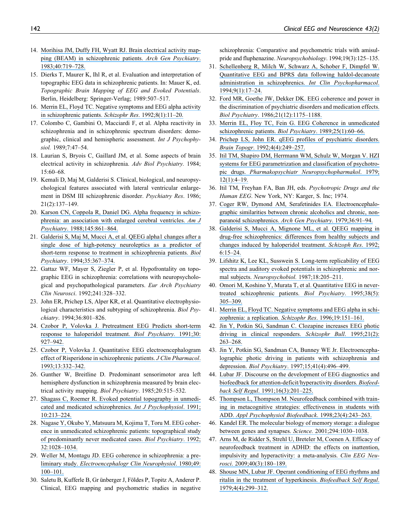- 14. [Morihisa JM, Duffy FH, Wyatt RJ. Brain electrical activity map](https://www.researchgate.net/publication/16339095_Brain_electrical_activity_mapping_BEAM_in_schizophrenic_patients_Archives_of_General_Psychiatry_40_719-728?el=1_x_8&enrichId=rgreq-9034d0741eec4b69bf19e12dc3a74984-XXX&enrichSource=Y292ZXJQYWdlOzIyNzQwMTg3MjtBUzoxMDM0MjgwMTM0Mjg3NDFAMTQwMTY3MDU2ODMwNA==)[ping \(BEAM\) in schizophrenic patients.](https://www.researchgate.net/publication/16339095_Brain_electrical_activity_mapping_BEAM_in_schizophrenic_patients_Archives_of_General_Psychiatry_40_719-728?el=1_x_8&enrichId=rgreq-9034d0741eec4b69bf19e12dc3a74984-XXX&enrichSource=Y292ZXJQYWdlOzIyNzQwMTg3MjtBUzoxMDM0MjgwMTM0Mjg3NDFAMTQwMTY3MDU2ODMwNA==) Arch Gen Psychiatry. [1983;40:719–728.](https://www.researchgate.net/publication/16339095_Brain_electrical_activity_mapping_BEAM_in_schizophrenic_patients_Archives_of_General_Psychiatry_40_719-728?el=1_x_8&enrichId=rgreq-9034d0741eec4b69bf19e12dc3a74984-XXX&enrichSource=Y292ZXJQYWdlOzIyNzQwMTg3MjtBUzoxMDM0MjgwMTM0Mjg3NDFAMTQwMTY3MDU2ODMwNA==)
- 15. Dierks T, Maurer K, Ihl R, et al. Evaluation and interpretation of topographic EEG data in schizophrenic patients. In: Mauer K, ed. Topographic Brain Mapping of EEG and Evoked Potentials. Berlin, Heidelberg: Springer-Verlag; 1989:507–517.
- 16. [Merrin EL, Floyd TC. Negative symptoms and EEG alpha activity](https://www.researchgate.net/publication/21797892_Negative_symptoms_and_EEG_alpha_activity_in_schizophrenic_patients?el=1_x_8&enrichId=rgreq-9034d0741eec4b69bf19e12dc3a74984-XXX&enrichSource=Y292ZXJQYWdlOzIyNzQwMTg3MjtBUzoxMDM0MjgwMTM0Mjg3NDFAMTQwMTY3MDU2ODMwNA==) [in schizophrenic patients.](https://www.researchgate.net/publication/21797892_Negative_symptoms_and_EEG_alpha_activity_in_schizophrenic_patients?el=1_x_8&enrichId=rgreq-9034d0741eec4b69bf19e12dc3a74984-XXX&enrichSource=Y292ZXJQYWdlOzIyNzQwMTg3MjtBUzoxMDM0MjgwMTM0Mjg3NDFAMTQwMTY3MDU2ODMwNA==) Schizophr Res. 1992;8(1):11–20.
- 17. Colombo C, Gambini O, Macciardi F, et al. Alpha reactivity in schizophrenia and in schizophrenic spectrum disorders: demographic, clinical and hemispheric assessment. Int J Psychophysiol. 1989;7:47–54.
- 18. Laurian S, Bryois C, Gaillard JM, et al. Some aspects of brain electrical activity in schizophrenia. Adv Biol Psychiatry. 1984; 15:60–68.
- 19. Kemali D, Maj M, Galderisi S. Clinical, biological, and neuropsychological features associated with lateral ventricular enlargement in DSM III schizophrenic disorder. Psychiatry Res. 1986; 21(2):137–149.
- 20. [Karson CN, Coppola R, Daniel DG. Alpha frequency in schizo](https://www.researchgate.net/publication/19774267_Alpha_frequency_in_schizophrenia_An_association_with_enlarged_cerebral_ventricles?el=1_x_8&enrichId=rgreq-9034d0741eec4b69bf19e12dc3a74984-XXX&enrichSource=Y292ZXJQYWdlOzIyNzQwMTg3MjtBUzoxMDM0MjgwMTM0Mjg3NDFAMTQwMTY3MDU2ODMwNA==)[phrenia: an association with enlarged cerebral ventricles.](https://www.researchgate.net/publication/19774267_Alpha_frequency_in_schizophrenia_An_association_with_enlarged_cerebral_ventricles?el=1_x_8&enrichId=rgreq-9034d0741eec4b69bf19e12dc3a74984-XXX&enrichSource=Y292ZXJQYWdlOzIyNzQwMTg3MjtBUzoxMDM0MjgwMTM0Mjg3NDFAMTQwMTY3MDU2ODMwNA==) Am J Psychiatry[. 1988;145:861–864.](https://www.researchgate.net/publication/19774267_Alpha_frequency_in_schizophrenia_An_association_with_enlarged_cerebral_ventricles?el=1_x_8&enrichId=rgreq-9034d0741eec4b69bf19e12dc3a74984-XXX&enrichSource=Y292ZXJQYWdlOzIyNzQwMTg3MjtBUzoxMDM0MjgwMTM0Mjg3NDFAMTQwMTY3MDU2ODMwNA==)
- 21. [Galderisi S, Maj M, Mucci A, et al. QEEG alpha1 changes after a](https://www.researchgate.net/publication/15180027_QEEG_alpha1_changes_after_a_single_dose_of_high-potency_neuroleptics_as_a_predictor_of_short-term_response_to_treatment_in_schizophrenic_patients?el=1_x_8&enrichId=rgreq-9034d0741eec4b69bf19e12dc3a74984-XXX&enrichSource=Y292ZXJQYWdlOzIyNzQwMTg3MjtBUzoxMDM0MjgwMTM0Mjg3NDFAMTQwMTY3MDU2ODMwNA==) [single dose of high-potency neuroleptics as a predictor of](https://www.researchgate.net/publication/15180027_QEEG_alpha1_changes_after_a_single_dose_of_high-potency_neuroleptics_as_a_predictor_of_short-term_response_to_treatment_in_schizophrenic_patients?el=1_x_8&enrichId=rgreq-9034d0741eec4b69bf19e12dc3a74984-XXX&enrichSource=Y292ZXJQYWdlOzIyNzQwMTg3MjtBUzoxMDM0MjgwMTM0Mjg3NDFAMTQwMTY3MDU2ODMwNA==) [short-term response to treatment in schizophrenia patients.](https://www.researchgate.net/publication/15180027_QEEG_alpha1_changes_after_a_single_dose_of_high-potency_neuroleptics_as_a_predictor_of_short-term_response_to_treatment_in_schizophrenic_patients?el=1_x_8&enrichId=rgreq-9034d0741eec4b69bf19e12dc3a74984-XXX&enrichSource=Y292ZXJQYWdlOzIyNzQwMTg3MjtBUzoxMDM0MjgwMTM0Mjg3NDFAMTQwMTY3MDU2ODMwNA==) Biol Psychiatry[. 1994;35:367–374.](https://www.researchgate.net/publication/15180027_QEEG_alpha1_changes_after_a_single_dose_of_high-potency_neuroleptics_as_a_predictor_of_short-term_response_to_treatment_in_schizophrenic_patients?el=1_x_8&enrichId=rgreq-9034d0741eec4b69bf19e12dc3a74984-XXX&enrichSource=Y292ZXJQYWdlOzIyNzQwMTg3MjtBUzoxMDM0MjgwMTM0Mjg3NDFAMTQwMTY3MDU2ODMwNA==)
- 22. Gattaz WF, Mayer S, Ziegler P, et al. Hypofrontality on topographic EEG in schizophrenia: correlations with neuropsychological and psychopathological parameters. Eur Arch Psychiatry Clin Neurosci. 1992;241:328–332.
- 23. John ER, Prichep LS, Alper KR, et al. Quantitative electrophysiological characteristics and subtyping of schizophrenia. Biol Psychiatry. 1994;36:801–826.
- 24. [Czobor P, Volovka J. Pretreatment EEG Predicts short-term](https://www.researchgate.net/publication/21409228_Pretreatment_EEG_predicts_short-term_response_to_haloperidol_treatment?el=1_x_8&enrichId=rgreq-9034d0741eec4b69bf19e12dc3a74984-XXX&enrichSource=Y292ZXJQYWdlOzIyNzQwMTg3MjtBUzoxMDM0MjgwMTM0Mjg3NDFAMTQwMTY3MDU2ODMwNA==) [response to haloperidol treatment.](https://www.researchgate.net/publication/21409228_Pretreatment_EEG_predicts_short-term_response_to_haloperidol_treatment?el=1_x_8&enrichId=rgreq-9034d0741eec4b69bf19e12dc3a74984-XXX&enrichSource=Y292ZXJQYWdlOzIyNzQwMTg3MjtBUzoxMDM0MjgwMTM0Mjg3NDFAMTQwMTY3MDU2ODMwNA==) Biol Psychiatry. 1991;30: [927–942.](https://www.researchgate.net/publication/21409228_Pretreatment_EEG_predicts_short-term_response_to_haloperidol_treatment?el=1_x_8&enrichId=rgreq-9034d0741eec4b69bf19e12dc3a74984-XXX&enrichSource=Y292ZXJQYWdlOzIyNzQwMTg3MjtBUzoxMDM0MjgwMTM0Mjg3NDFAMTQwMTY3MDU2ODMwNA==)
- 25. [Czobor P, Volovka J. Quantitative EEG electroencephalogram](https://www.researchgate.net/publication/15504935_Quantitative_Electroencephalogram_Examination_of_Effects_of_Risperidone_in_Schizophrenic_Patients?el=1_x_8&enrichId=rgreq-9034d0741eec4b69bf19e12dc3a74984-XXX&enrichSource=Y292ZXJQYWdlOzIyNzQwMTg3MjtBUzoxMDM0MjgwMTM0Mjg3NDFAMTQwMTY3MDU2ODMwNA==) [effect of Risperidone in schizophrenic patients.](https://www.researchgate.net/publication/15504935_Quantitative_Electroencephalogram_Examination_of_Effects_of_Risperidone_in_Schizophrenic_Patients?el=1_x_8&enrichId=rgreq-9034d0741eec4b69bf19e12dc3a74984-XXX&enrichSource=Y292ZXJQYWdlOzIyNzQwMTg3MjtBUzoxMDM0MjgwMTM0Mjg3NDFAMTQwMTY3MDU2ODMwNA==) J Clin Pharmacol. [1993;13:332–342.](https://www.researchgate.net/publication/15504935_Quantitative_Electroencephalogram_Examination_of_Effects_of_Risperidone_in_Schizophrenic_Patients?el=1_x_8&enrichId=rgreq-9034d0741eec4b69bf19e12dc3a74984-XXX&enrichSource=Y292ZXJQYWdlOzIyNzQwMTg3MjtBUzoxMDM0MjgwMTM0Mjg3NDFAMTQwMTY3MDU2ODMwNA==)
- 26. Gunther W, Breitline D. Predominant sensorimotor area left hemisphere dysfunction in schizophrenia measured by brain electrical activity mapping. Biol Psychiatry. 1985;20:515–532.
- 27. [Shagass C, Roemer R. Evoked potential topography in unmedi](https://www.researchgate.net/publication/21482448_Evoked_potential_topography_in_unmedicated_and_medicated_schizophrenics?el=1_x_8&enrichId=rgreq-9034d0741eec4b69bf19e12dc3a74984-XXX&enrichSource=Y292ZXJQYWdlOzIyNzQwMTg3MjtBUzoxMDM0MjgwMTM0Mjg3NDFAMTQwMTY3MDU2ODMwNA==)[cated and medicated schizophrenics.](https://www.researchgate.net/publication/21482448_Evoked_potential_topography_in_unmedicated_and_medicated_schizophrenics?el=1_x_8&enrichId=rgreq-9034d0741eec4b69bf19e12dc3a74984-XXX&enrichSource=Y292ZXJQYWdlOzIyNzQwMTg3MjtBUzoxMDM0MjgwMTM0Mjg3NDFAMTQwMTY3MDU2ODMwNA==) Int J Psychophysiol. 1991; [10:213–224.](https://www.researchgate.net/publication/21482448_Evoked_potential_topography_in_unmedicated_and_medicated_schizophrenics?el=1_x_8&enrichId=rgreq-9034d0741eec4b69bf19e12dc3a74984-XXX&enrichSource=Y292ZXJQYWdlOzIyNzQwMTg3MjtBUzoxMDM0MjgwMTM0Mjg3NDFAMTQwMTY3MDU2ODMwNA==)
- 28. [Nagase Y, Okubo Y, Matsuura M, Kojima T, Toru M. EEG coher](https://www.researchgate.net/publication/21689102_Nagase_Y_Okubo_Y_Matsuura_M_Kojima_T_Toru_M_EEG_coherence_in_unmedicated_schizophrenic_patients_topographical_study_of_predominantly_never_medicated_cases_Biol_Psychiatry_32_1028-1034?el=1_x_8&enrichId=rgreq-9034d0741eec4b69bf19e12dc3a74984-XXX&enrichSource=Y292ZXJQYWdlOzIyNzQwMTg3MjtBUzoxMDM0MjgwMTM0Mjg3NDFAMTQwMTY3MDU2ODMwNA==)[ence in unmedicated schizophrenic patients: topographical study](https://www.researchgate.net/publication/21689102_Nagase_Y_Okubo_Y_Matsuura_M_Kojima_T_Toru_M_EEG_coherence_in_unmedicated_schizophrenic_patients_topographical_study_of_predominantly_never_medicated_cases_Biol_Psychiatry_32_1028-1034?el=1_x_8&enrichId=rgreq-9034d0741eec4b69bf19e12dc3a74984-XXX&enrichSource=Y292ZXJQYWdlOzIyNzQwMTg3MjtBUzoxMDM0MjgwMTM0Mjg3NDFAMTQwMTY3MDU2ODMwNA==) [of predominantly never medicated cases.](https://www.researchgate.net/publication/21689102_Nagase_Y_Okubo_Y_Matsuura_M_Kojima_T_Toru_M_EEG_coherence_in_unmedicated_schizophrenic_patients_topographical_study_of_predominantly_never_medicated_cases_Biol_Psychiatry_32_1028-1034?el=1_x_8&enrichId=rgreq-9034d0741eec4b69bf19e12dc3a74984-XXX&enrichSource=Y292ZXJQYWdlOzIyNzQwMTg3MjtBUzoxMDM0MjgwMTM0Mjg3NDFAMTQwMTY3MDU2ODMwNA==) Biol Psychiatry. 1992; [32:1028–1034.](https://www.researchgate.net/publication/21689102_Nagase_Y_Okubo_Y_Matsuura_M_Kojima_T_Toru_M_EEG_coherence_in_unmedicated_schizophrenic_patients_topographical_study_of_predominantly_never_medicated_cases_Biol_Psychiatry_32_1028-1034?el=1_x_8&enrichId=rgreq-9034d0741eec4b69bf19e12dc3a74984-XXX&enrichSource=Y292ZXJQYWdlOzIyNzQwMTg3MjtBUzoxMDM0MjgwMTM0Mjg3NDFAMTQwMTY3MDU2ODMwNA==)
- 29. [Weller M, Montagu JD. EEG coherence in schizophrenia: a pre](https://www.researchgate.net/publication/284330924_EEG_coherence_in_schizophrenia_A_preliminary_study?el=1_x_8&enrichId=rgreq-9034d0741eec4b69bf19e12dc3a74984-XXX&enrichSource=Y292ZXJQYWdlOzIyNzQwMTg3MjtBUzoxMDM0MjgwMTM0Mjg3NDFAMTQwMTY3MDU2ODMwNA==)liminary study. [Electroencephalogr Clin Neurophysiol](https://www.researchgate.net/publication/284330924_EEG_coherence_in_schizophrenia_A_preliminary_study?el=1_x_8&enrichId=rgreq-9034d0741eec4b69bf19e12dc3a74984-XXX&enrichSource=Y292ZXJQYWdlOzIyNzQwMTg3MjtBUzoxMDM0MjgwMTM0Mjg3NDFAMTQwMTY3MDU2ODMwNA==). 1980;49: [100–101.](https://www.researchgate.net/publication/284330924_EEG_coherence_in_schizophrenia_A_preliminary_study?el=1_x_8&enrichId=rgreq-9034d0741eec4b69bf19e12dc3a74984-XXX&enrichSource=Y292ZXJQYWdlOzIyNzQwMTg3MjtBUzoxMDM0MjgwMTM0Mjg3NDFAMTQwMTY3MDU2ODMwNA==)
- 30. Saletu B, Kufferle B, Gr ünberger J, Földes P, Topitz A, Anderer P. Clinical, EEG mapping and psychometric studies in negative

schizophrenia: Comparative and psychometric trials with amisulpride and fluphenazine. Neuropsychobiology. 1994;19(3):125–135.

- 31. [Schellenberg R, Milch W, Schwarz A, Schober F, Dimpfel W.](https://www.researchgate.net/publication/15288066_Quantitative_EEG_and_BPRS_data_following_Haldol-DecanoateR_administration_in_schizophrenics?el=1_x_8&enrichId=rgreq-9034d0741eec4b69bf19e12dc3a74984-XXX&enrichSource=Y292ZXJQYWdlOzIyNzQwMTg3MjtBUzoxMDM0MjgwMTM0Mjg3NDFAMTQwMTY3MDU2ODMwNA==) [Quantitative EEG and BPRS data following haldol-decanoate](https://www.researchgate.net/publication/15288066_Quantitative_EEG_and_BPRS_data_following_Haldol-DecanoateR_administration_in_schizophrenics?el=1_x_8&enrichId=rgreq-9034d0741eec4b69bf19e12dc3a74984-XXX&enrichSource=Y292ZXJQYWdlOzIyNzQwMTg3MjtBUzoxMDM0MjgwMTM0Mjg3NDFAMTQwMTY3MDU2ODMwNA==) [administration in schizophrenics.](https://www.researchgate.net/publication/15288066_Quantitative_EEG_and_BPRS_data_following_Haldol-DecanoateR_administration_in_schizophrenics?el=1_x_8&enrichId=rgreq-9034d0741eec4b69bf19e12dc3a74984-XXX&enrichSource=Y292ZXJQYWdlOzIyNzQwMTg3MjtBUzoxMDM0MjgwMTM0Mjg3NDFAMTQwMTY3MDU2ODMwNA==) Int Clin Psychopharmacol. [1994;9\(1\):17–24.](https://www.researchgate.net/publication/15288066_Quantitative_EEG_and_BPRS_data_following_Haldol-DecanoateR_administration_in_schizophrenics?el=1_x_8&enrichId=rgreq-9034d0741eec4b69bf19e12dc3a74984-XXX&enrichSource=Y292ZXJQYWdlOzIyNzQwMTg3MjtBUzoxMDM0MjgwMTM0Mjg3NDFAMTQwMTY3MDU2ODMwNA==)
- 32. [Ford MR, Goethe JW, Dekker DK. EEG coherence and power in](https://www.researchgate.net/publication/20280000_EEG_coherence_and_power_in_the_discrimination_of_psychiatric_disorders_and_medication_effects?el=1_x_8&enrichId=rgreq-9034d0741eec4b69bf19e12dc3a74984-XXX&enrichSource=Y292ZXJQYWdlOzIyNzQwMTg3MjtBUzoxMDM0MjgwMTM0Mjg3NDFAMTQwMTY3MDU2ODMwNA==) [the discrimination of psychiatric disorders and medication effects.](https://www.researchgate.net/publication/20280000_EEG_coherence_and_power_in_the_discrimination_of_psychiatric_disorders_and_medication_effects?el=1_x_8&enrichId=rgreq-9034d0741eec4b69bf19e12dc3a74984-XXX&enrichSource=Y292ZXJQYWdlOzIyNzQwMTg3MjtBUzoxMDM0MjgwMTM0Mjg3NDFAMTQwMTY3MDU2ODMwNA==) Biol Psychiatry[. 1986;21\(12\):1175–1188.](https://www.researchgate.net/publication/20280000_EEG_coherence_and_power_in_the_discrimination_of_psychiatric_disorders_and_medication_effects?el=1_x_8&enrichId=rgreq-9034d0741eec4b69bf19e12dc3a74984-XXX&enrichSource=Y292ZXJQYWdlOzIyNzQwMTg3MjtBUzoxMDM0MjgwMTM0Mjg3NDFAMTQwMTY3MDU2ODMwNA==)
- 33. [Merrin EL, Floy TC, Fein G. EEG Coherence in unmedicated](https://www.researchgate.net/publication/20593390_EEG_Coherence_in_unmedicated_schizophrenic_patients?el=1_x_8&enrichId=rgreq-9034d0741eec4b69bf19e12dc3a74984-XXX&enrichSource=Y292ZXJQYWdlOzIyNzQwMTg3MjtBUzoxMDM0MjgwMTM0Mjg3NDFAMTQwMTY3MDU2ODMwNA==) [schizophrenic patients.](https://www.researchgate.net/publication/20593390_EEG_Coherence_in_unmedicated_schizophrenic_patients?el=1_x_8&enrichId=rgreq-9034d0741eec4b69bf19e12dc3a74984-XXX&enrichSource=Y292ZXJQYWdlOzIyNzQwMTg3MjtBUzoxMDM0MjgwMTM0Mjg3NDFAMTQwMTY3MDU2ODMwNA==) Biol Psychiatry. 1989;25(1):60-66.
- 34. [Prichep LS, John ER. qEEG profiles of psychiatric disorders.](https://www.researchgate.net/publication/21644590_QEEG_profiles_of_psychiatric_disorders?el=1_x_8&enrichId=rgreq-9034d0741eec4b69bf19e12dc3a74984-XXX&enrichSource=Y292ZXJQYWdlOzIyNzQwMTg3MjtBUzoxMDM0MjgwMTM0Mjg3NDFAMTQwMTY3MDU2ODMwNA==) Brain Topogr[. 1992;4\(4\):249–257.](https://www.researchgate.net/publication/21644590_QEEG_profiles_of_psychiatric_disorders?el=1_x_8&enrichId=rgreq-9034d0741eec4b69bf19e12dc3a74984-XXX&enrichSource=Y292ZXJQYWdlOzIyNzQwMTg3MjtBUzoxMDM0MjgwMTM0Mjg3NDFAMTQwMTY3MDU2ODMwNA==)
- 35. [Itil TM, Shapiro DM, Herrmann WM, Schulz W, Morgan V. HZI](https://www.researchgate.net/publication/22723440_HZI_Systems_for_EEG_Parametrization_and_Classification_of_Psychotropic_Drugs?el=1_x_8&enrichId=rgreq-9034d0741eec4b69bf19e12dc3a74984-XXX&enrichSource=Y292ZXJQYWdlOzIyNzQwMTg3MjtBUzoxMDM0MjgwMTM0Mjg3NDFAMTQwMTY3MDU2ODMwNA==) [systems for EEG parametrization and classification of psychotro](https://www.researchgate.net/publication/22723440_HZI_Systems_for_EEG_Parametrization_and_Classification_of_Psychotropic_Drugs?el=1_x_8&enrichId=rgreq-9034d0741eec4b69bf19e12dc3a74984-XXX&enrichSource=Y292ZXJQYWdlOzIyNzQwMTg3MjtBUzoxMDM0MjgwMTM0Mjg3NDFAMTQwMTY3MDU2ODMwNA==)pic drugs. [Pharmakopsychiatr Neuropsychopharmakol](https://www.researchgate.net/publication/22723440_HZI_Systems_for_EEG_Parametrization_and_Classification_of_Psychotropic_Drugs?el=1_x_8&enrichId=rgreq-9034d0741eec4b69bf19e12dc3a74984-XXX&enrichSource=Y292ZXJQYWdlOzIyNzQwMTg3MjtBUzoxMDM0MjgwMTM0Mjg3NDFAMTQwMTY3MDU2ODMwNA==). 1979; [12\(1\):4–19.](https://www.researchgate.net/publication/22723440_HZI_Systems_for_EEG_Parametrization_and_Classification_of_Psychotropic_Drugs?el=1_x_8&enrichId=rgreq-9034d0741eec4b69bf19e12dc3a74984-XXX&enrichSource=Y292ZXJQYWdlOzIyNzQwMTg3MjtBUzoxMDM0MjgwMTM0Mjg3NDFAMTQwMTY3MDU2ODMwNA==)
- 36. Itil TM, Freyhan FA, Ban JH, eds. Psychotropic Drugs and the Human EEG. New York, NY: Karger, S. Inc; 1974.
- 37. [Coger RW, Dymond AM, Serafetinides EA. Electroencephalo](https://www.researchgate.net/publication/22381022_Electroencephalographic_similarities_between_chronic_alcoholics_and_chronic_nonparanoid_schizophrenics?el=1_x_8&enrichId=rgreq-9034d0741eec4b69bf19e12dc3a74984-XXX&enrichSource=Y292ZXJQYWdlOzIyNzQwMTg3MjtBUzoxMDM0MjgwMTM0Mjg3NDFAMTQwMTY3MDU2ODMwNA==)[graphic similarities between chronic alcoholics and chronic, non](https://www.researchgate.net/publication/22381022_Electroencephalographic_similarities_between_chronic_alcoholics_and_chronic_nonparanoid_schizophrenics?el=1_x_8&enrichId=rgreq-9034d0741eec4b69bf19e12dc3a74984-XXX&enrichSource=Y292ZXJQYWdlOzIyNzQwMTg3MjtBUzoxMDM0MjgwMTM0Mjg3NDFAMTQwMTY3MDU2ODMwNA==)[paranoid schizophrenics.](https://www.researchgate.net/publication/22381022_Electroencephalographic_similarities_between_chronic_alcoholics_and_chronic_nonparanoid_schizophrenics?el=1_x_8&enrichId=rgreq-9034d0741eec4b69bf19e12dc3a74984-XXX&enrichSource=Y292ZXJQYWdlOzIyNzQwMTg3MjtBUzoxMDM0MjgwMTM0Mjg3NDFAMTQwMTY3MDU2ODMwNA==) Arch Gen Psychiatry. 1979;36:91–94.
- 38. [Galderisi S, Mucci A, Mignone ML, et al. QEEG mapping in](https://www.researchgate.net/publication/21370037_CEEG_mapping_in_drug-free_schizophrenics_Differences_from_healthy_subjects_and_changes_induced_by_haloperidol_treatment?el=1_x_8&enrichId=rgreq-9034d0741eec4b69bf19e12dc3a74984-XXX&enrichSource=Y292ZXJQYWdlOzIyNzQwMTg3MjtBUzoxMDM0MjgwMTM0Mjg3NDFAMTQwMTY3MDU2ODMwNA==) [drug-free schizophrenics: differences from healthy subjects and](https://www.researchgate.net/publication/21370037_CEEG_mapping_in_drug-free_schizophrenics_Differences_from_healthy_subjects_and_changes_induced_by_haloperidol_treatment?el=1_x_8&enrichId=rgreq-9034d0741eec4b69bf19e12dc3a74984-XXX&enrichSource=Y292ZXJQYWdlOzIyNzQwMTg3MjtBUzoxMDM0MjgwMTM0Mjg3NDFAMTQwMTY3MDU2ODMwNA==) [changes induced by haloperidol treatment.](https://www.researchgate.net/publication/21370037_CEEG_mapping_in_drug-free_schizophrenics_Differences_from_healthy_subjects_and_changes_induced_by_haloperidol_treatment?el=1_x_8&enrichId=rgreq-9034d0741eec4b69bf19e12dc3a74984-XXX&enrichSource=Y292ZXJQYWdlOzIyNzQwMTg3MjtBUzoxMDM0MjgwMTM0Mjg3NDFAMTQwMTY3MDU2ODMwNA==) Schizoph Res. 1992; [6:15–24.](https://www.researchgate.net/publication/21370037_CEEG_mapping_in_drug-free_schizophrenics_Differences_from_healthy_subjects_and_changes_induced_by_haloperidol_treatment?el=1_x_8&enrichId=rgreq-9034d0741eec4b69bf19e12dc3a74984-XXX&enrichSource=Y292ZXJQYWdlOzIyNzQwMTg3MjtBUzoxMDM0MjgwMTM0Mjg3NDFAMTQwMTY3MDU2ODMwNA==)
- 39. [Lifshitz K, Lee KL, Susswein S. Long-term replicability of EEG](https://www.researchgate.net/publication/20254743_Long-Term_Replicability_of_EEG_Spectra_and_Auditory_Evoked_Potentials_in_Schizophrenic_and_Normal_Subjects?el=1_x_8&enrichId=rgreq-9034d0741eec4b69bf19e12dc3a74984-XXX&enrichSource=Y292ZXJQYWdlOzIyNzQwMTg3MjtBUzoxMDM0MjgwMTM0Mjg3NDFAMTQwMTY3MDU2ODMwNA==) [spectra and auditory evoked potentials in schizophrenic and nor](https://www.researchgate.net/publication/20254743_Long-Term_Replicability_of_EEG_Spectra_and_Auditory_Evoked_Potentials_in_Schizophrenic_and_Normal_Subjects?el=1_x_8&enrichId=rgreq-9034d0741eec4b69bf19e12dc3a74984-XXX&enrichSource=Y292ZXJQYWdlOzIyNzQwMTg3MjtBUzoxMDM0MjgwMTM0Mjg3NDFAMTQwMTY3MDU2ODMwNA==)mal subjects. Neuropsychobiol. [1987;18:205–211.](https://www.researchgate.net/publication/20254743_Long-Term_Replicability_of_EEG_Spectra_and_Auditory_Evoked_Potentials_in_Schizophrenic_and_Normal_Subjects?el=1_x_8&enrichId=rgreq-9034d0741eec4b69bf19e12dc3a74984-XXX&enrichSource=Y292ZXJQYWdlOzIyNzQwMTg3MjtBUzoxMDM0MjgwMTM0Mjg3NDFAMTQwMTY3MDU2ODMwNA==)
- 40. [Omori M, Koshino Y, Murata T, et al. Quantitative EEG in never](https://www.researchgate.net/publication/21792301_Quantitative_EEG_of_Elderly_Schizophrenic_Patients?el=1_x_8&enrichId=rgreq-9034d0741eec4b69bf19e12dc3a74984-XXX&enrichSource=Y292ZXJQYWdlOzIyNzQwMTg3MjtBUzoxMDM0MjgwMTM0Mjg3NDFAMTQwMTY3MDU2ODMwNA==)[treated schizophrenic patients.](https://www.researchgate.net/publication/21792301_Quantitative_EEG_of_Elderly_Schizophrenic_Patients?el=1_x_8&enrichId=rgreq-9034d0741eec4b69bf19e12dc3a74984-XXX&enrichSource=Y292ZXJQYWdlOzIyNzQwMTg3MjtBUzoxMDM0MjgwMTM0Mjg3NDFAMTQwMTY3MDU2ODMwNA==) Biol Psychiatry. 1995;38(5): [305–309.](https://www.researchgate.net/publication/21792301_Quantitative_EEG_of_Elderly_Schizophrenic_Patients?el=1_x_8&enrichId=rgreq-9034d0741eec4b69bf19e12dc3a74984-XXX&enrichSource=Y292ZXJQYWdlOzIyNzQwMTg3MjtBUzoxMDM0MjgwMTM0Mjg3NDFAMTQwMTY3MDU2ODMwNA==)
- 41. [Merrin EL, Floyd TC. Negative symptoms and EEG alpha in schi](https://www.researchgate.net/publication/14412942_Negative_symptoms_and_EEG_alpha_in_schizophrenia?el=1_x_8&enrichId=rgreq-9034d0741eec4b69bf19e12dc3a74984-XXX&enrichSource=Y292ZXJQYWdlOzIyNzQwMTg3MjtBUzoxMDM0MjgwMTM0Mjg3NDFAMTQwMTY3MDU2ODMwNA==)[zophrenia: a replication.](https://www.researchgate.net/publication/14412942_Negative_symptoms_and_EEG_alpha_in_schizophrenia?el=1_x_8&enrichId=rgreq-9034d0741eec4b69bf19e12dc3a74984-XXX&enrichSource=Y292ZXJQYWdlOzIyNzQwMTg3MjtBUzoxMDM0MjgwMTM0Mjg3NDFAMTQwMTY3MDU2ODMwNA==) Schizophr Res. 1996;19:151-161.
- 42. [Jin Y, Potkin SG, Sandman C. Clozapine increases EEG photic](https://www.researchgate.net/publication/15568321_Clozapine_Increases_EEG_Photic_Driving_in_Clinical_Responders?el=1_x_8&enrichId=rgreq-9034d0741eec4b69bf19e12dc3a74984-XXX&enrichSource=Y292ZXJQYWdlOzIyNzQwMTg3MjtBUzoxMDM0MjgwMTM0Mjg3NDFAMTQwMTY3MDU2ODMwNA==) [driving in clinical responders.](https://www.researchgate.net/publication/15568321_Clozapine_Increases_EEG_Photic_Driving_in_Clinical_Responders?el=1_x_8&enrichId=rgreq-9034d0741eec4b69bf19e12dc3a74984-XXX&enrichSource=Y292ZXJQYWdlOzIyNzQwMTg3MjtBUzoxMDM0MjgwMTM0Mjg3NDFAMTQwMTY3MDU2ODMwNA==) Schizophr Bull. 1995;21(2): [263–268.](https://www.researchgate.net/publication/15568321_Clozapine_Increases_EEG_Photic_Driving_in_Clinical_Responders?el=1_x_8&enrichId=rgreq-9034d0741eec4b69bf19e12dc3a74984-XXX&enrichSource=Y292ZXJQYWdlOzIyNzQwMTg3MjtBUzoxMDM0MjgwMTM0Mjg3NDFAMTQwMTY3MDU2ODMwNA==)
- 43. [Jin Y, Potkin SG, Sandman CA, Bunney WE Jr. Electroencepha](https://www.researchgate.net/publication/14175302_Electroencephalographic_photic_driving_in_patients_with_schizophrenia_and_depression?el=1_x_8&enrichId=rgreq-9034d0741eec4b69bf19e12dc3a74984-XXX&enrichSource=Y292ZXJQYWdlOzIyNzQwMTg3MjtBUzoxMDM0MjgwMTM0Mjg3NDFAMTQwMTY3MDU2ODMwNA==)[lographic photic driving in patients with schizophrenia and](https://www.researchgate.net/publication/14175302_Electroencephalographic_photic_driving_in_patients_with_schizophrenia_and_depression?el=1_x_8&enrichId=rgreq-9034d0741eec4b69bf19e12dc3a74984-XXX&enrichSource=Y292ZXJQYWdlOzIyNzQwMTg3MjtBUzoxMDM0MjgwMTM0Mjg3NDFAMTQwMTY3MDU2ODMwNA==) depression. Biol Psychiatry[. 1997;15;41\(4\):496–499.](https://www.researchgate.net/publication/14175302_Electroencephalographic_photic_driving_in_patients_with_schizophrenia_and_depression?el=1_x_8&enrichId=rgreq-9034d0741eec4b69bf19e12dc3a74984-XXX&enrichSource=Y292ZXJQYWdlOzIyNzQwMTg3MjtBUzoxMDM0MjgwMTM0Mjg3NDFAMTQwMTY3MDU2ODMwNA==)
- 44. [Lubar JF. Discourse on the development of EEG diagnostics and](https://www.researchgate.net/publication/21224249_Discourse_on_the_development_of_EEG_diagnostics_and_biofeedback_for_attention-deficithyperactivity_disorders?el=1_x_8&enrichId=rgreq-9034d0741eec4b69bf19e12dc3a74984-XXX&enrichSource=Y292ZXJQYWdlOzIyNzQwMTg3MjtBUzoxMDM0MjgwMTM0Mjg3NDFAMTQwMTY3MDU2ODMwNA==) [biofeedback for attention-deficit/hyperactivity disorders.](https://www.researchgate.net/publication/21224249_Discourse_on_the_development_of_EEG_diagnostics_and_biofeedback_for_attention-deficithyperactivity_disorders?el=1_x_8&enrichId=rgreq-9034d0741eec4b69bf19e12dc3a74984-XXX&enrichSource=Y292ZXJQYWdlOzIyNzQwMTg3MjtBUzoxMDM0MjgwMTM0Mjg3NDFAMTQwMTY3MDU2ODMwNA==) Biofeedback Self Regul[. 1991;16\(3\):201–225.](https://www.researchgate.net/publication/21224249_Discourse_on_the_development_of_EEG_diagnostics_and_biofeedback_for_attention-deficithyperactivity_disorders?el=1_x_8&enrichId=rgreq-9034d0741eec4b69bf19e12dc3a74984-XXX&enrichSource=Y292ZXJQYWdlOzIyNzQwMTg3MjtBUzoxMDM0MjgwMTM0Mjg3NDFAMTQwMTY3MDU2ODMwNA==)
- 45. [Thompson L, Thompson M. Neurofeedback combined with train](https://www.researchgate.net/publication/12841749_Neurofeedback_Combined_with_Training_in_Metacognitive_Strategies_Effectiveness_in_Students_with_ADD?el=1_x_8&enrichId=rgreq-9034d0741eec4b69bf19e12dc3a74984-XXX&enrichSource=Y292ZXJQYWdlOzIyNzQwMTg3MjtBUzoxMDM0MjgwMTM0Mjg3NDFAMTQwMTY3MDU2ODMwNA==)[ing in metacognitive strategies: effectiveness in students with](https://www.researchgate.net/publication/12841749_Neurofeedback_Combined_with_Training_in_Metacognitive_Strategies_Effectiveness_in_Students_with_ADD?el=1_x_8&enrichId=rgreq-9034d0741eec4b69bf19e12dc3a74984-XXX&enrichSource=Y292ZXJQYWdlOzIyNzQwMTg3MjtBUzoxMDM0MjgwMTM0Mjg3NDFAMTQwMTY3MDU2ODMwNA==) ADD. [Appl Psychophysiol Biofeedback](https://www.researchgate.net/publication/12841749_Neurofeedback_Combined_with_Training_in_Metacognitive_Strategies_Effectiveness_in_Students_with_ADD?el=1_x_8&enrichId=rgreq-9034d0741eec4b69bf19e12dc3a74984-XXX&enrichSource=Y292ZXJQYWdlOzIyNzQwMTg3MjtBUzoxMDM0MjgwMTM0Mjg3NDFAMTQwMTY3MDU2ODMwNA==). 1998;23(4):243–263.
- 46. [Kandel ER. The molecular biology of memory storage: a dialogue](https://www.researchgate.net/publication/11662183_The_Molecular_Biology_of_Memory_Storage_A_Dialogue_Between_Genes_and_Synapses?el=1_x_8&enrichId=rgreq-9034d0741eec4b69bf19e12dc3a74984-XXX&enrichSource=Y292ZXJQYWdlOzIyNzQwMTg3MjtBUzoxMDM0MjgwMTM0Mjg3NDFAMTQwMTY3MDU2ODMwNA==) [between genes and synapses.](https://www.researchgate.net/publication/11662183_The_Molecular_Biology_of_Memory_Storage_A_Dialogue_Between_Genes_and_Synapses?el=1_x_8&enrichId=rgreq-9034d0741eec4b69bf19e12dc3a74984-XXX&enrichSource=Y292ZXJQYWdlOzIyNzQwMTg3MjtBUzoxMDM0MjgwMTM0Mjg3NDFAMTQwMTY3MDU2ODMwNA==) Science. 2001;294:1030–1038.
- 47. [Arns M, de Ridder S, Strehl U, Breteler M, Coenen A. Efficacy of](https://www.researchgate.net/publication/26775009_Efficacy_of_Neurofeedback_Treatment_in_ADHD_The_Effects_on_Inattention_Impulsivity_and_Hyperactivity_A_Meta-Analysis?el=1_x_8&enrichId=rgreq-9034d0741eec4b69bf19e12dc3a74984-XXX&enrichSource=Y292ZXJQYWdlOzIyNzQwMTg3MjtBUzoxMDM0MjgwMTM0Mjg3NDFAMTQwMTY3MDU2ODMwNA==) [neurofeedback treatment in ADHD: the effects on inattention,](https://www.researchgate.net/publication/26775009_Efficacy_of_Neurofeedback_Treatment_in_ADHD_The_Effects_on_Inattention_Impulsivity_and_Hyperactivity_A_Meta-Analysis?el=1_x_8&enrichId=rgreq-9034d0741eec4b69bf19e12dc3a74984-XXX&enrichSource=Y292ZXJQYWdlOzIyNzQwMTg3MjtBUzoxMDM0MjgwMTM0Mjg3NDFAMTQwMTY3MDU2ODMwNA==) [impulsivity and hyperactivity: a meta-analysis.](https://www.researchgate.net/publication/26775009_Efficacy_of_Neurofeedback_Treatment_in_ADHD_The_Effects_on_Inattention_Impulsivity_and_Hyperactivity_A_Meta-Analysis?el=1_x_8&enrichId=rgreq-9034d0741eec4b69bf19e12dc3a74984-XXX&enrichSource=Y292ZXJQYWdlOzIyNzQwMTg3MjtBUzoxMDM0MjgwMTM0Mjg3NDFAMTQwMTY3MDU2ODMwNA==) Clin EEG Neurosci[. 2009;40\(3\):180–189.](https://www.researchgate.net/publication/26775009_Efficacy_of_Neurofeedback_Treatment_in_ADHD_The_Effects_on_Inattention_Impulsivity_and_Hyperactivity_A_Meta-Analysis?el=1_x_8&enrichId=rgreq-9034d0741eec4b69bf19e12dc3a74984-XXX&enrichSource=Y292ZXJQYWdlOzIyNzQwMTg3MjtBUzoxMDM0MjgwMTM0Mjg3NDFAMTQwMTY3MDU2ODMwNA==)
- 48. [Shouse MN, Lubar JF. Operant conditioning of EEG rhythms and](https://www.researchgate.net/publication/22614764_Operant_conditioning_of_EEG_rhythms_and_Ritalin_in_the_treatment_of_hyperkinesias?el=1_x_8&enrichId=rgreq-9034d0741eec4b69bf19e12dc3a74984-XXX&enrichSource=Y292ZXJQYWdlOzIyNzQwMTg3MjtBUzoxMDM0MjgwMTM0Mjg3NDFAMTQwMTY3MDU2ODMwNA==) [ritalin in the treatment of hyperkinesis.](https://www.researchgate.net/publication/22614764_Operant_conditioning_of_EEG_rhythms_and_Ritalin_in_the_treatment_of_hyperkinesias?el=1_x_8&enrichId=rgreq-9034d0741eec4b69bf19e12dc3a74984-XXX&enrichSource=Y292ZXJQYWdlOzIyNzQwMTg3MjtBUzoxMDM0MjgwMTM0Mjg3NDFAMTQwMTY3MDU2ODMwNA==) Biofeedback Self Regul. [1979;4\(4\):299–312.](https://www.researchgate.net/publication/22614764_Operant_conditioning_of_EEG_rhythms_and_Ritalin_in_the_treatment_of_hyperkinesias?el=1_x_8&enrichId=rgreq-9034d0741eec4b69bf19e12dc3a74984-XXX&enrichSource=Y292ZXJQYWdlOzIyNzQwMTg3MjtBUzoxMDM0MjgwMTM0Mjg3NDFAMTQwMTY3MDU2ODMwNA==)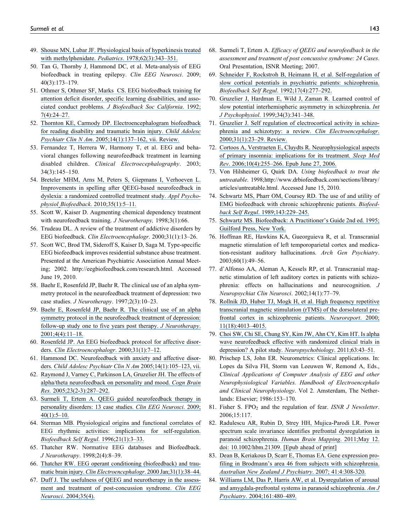- 49. [Shouse MN, Lubar JF. Physiological basis of hyperkinesis treated](https://www.researchgate.net/publication/22438517_Physiologic_basis_of_hyperkinesis_treated_with_methylphenidate?el=1_x_8&enrichId=rgreq-9034d0741eec4b69bf19e12dc3a74984-XXX&enrichSource=Y292ZXJQYWdlOzIyNzQwMTg3MjtBUzoxMDM0MjgwMTM0Mjg3NDFAMTQwMTY3MDU2ODMwNA==) with methylphenidate. Pediatrics[. 1978;62\(3\):343–351.](https://www.researchgate.net/publication/22438517_Physiologic_basis_of_hyperkinesis_treated_with_methylphenidate?el=1_x_8&enrichId=rgreq-9034d0741eec4b69bf19e12dc3a74984-XXX&enrichSource=Y292ZXJQYWdlOzIyNzQwMTg3MjtBUzoxMDM0MjgwMTM0Mjg3NDFAMTQwMTY3MDU2ODMwNA==)
- 50. Tan G, Thornby J, Hammond DC, et al. Meta-analysis of EEG biofeedback in treating epilepsy. Clin EEG Neurosci. 2009; 40(3):173–179.
- 51. [Othmer S, Othmer SF, Marks CS. EEG biofeedback training for](https://www.researchgate.net/publication/252060569_EEG_Biofeedback_Training_for_Attention_Deficit_Disorder_Specific_Learning_Disabilities_and_Associated_Conduct_Problems?el=1_x_8&enrichId=rgreq-9034d0741eec4b69bf19e12dc3a74984-XXX&enrichSource=Y292ZXJQYWdlOzIyNzQwMTg3MjtBUzoxMDM0MjgwMTM0Mjg3NDFAMTQwMTY3MDU2ODMwNA==) [attention deficit disorder, specific learning disabilities, and asso](https://www.researchgate.net/publication/252060569_EEG_Biofeedback_Training_for_Attention_Deficit_Disorder_Specific_Learning_Disabilities_and_Associated_Conduct_Problems?el=1_x_8&enrichId=rgreq-9034d0741eec4b69bf19e12dc3a74984-XXX&enrichSource=Y292ZXJQYWdlOzIyNzQwMTg3MjtBUzoxMDM0MjgwMTM0Mjg3NDFAMTQwMTY3MDU2ODMwNA==)ciated conduct problems. [J Biofeedback Soc California](https://www.researchgate.net/publication/252060569_EEG_Biofeedback_Training_for_Attention_Deficit_Disorder_Specific_Learning_Disabilities_and_Associated_Conduct_Problems?el=1_x_8&enrichId=rgreq-9034d0741eec4b69bf19e12dc3a74984-XXX&enrichSource=Y292ZXJQYWdlOzIyNzQwMTg3MjtBUzoxMDM0MjgwMTM0Mjg3NDFAMTQwMTY3MDU2ODMwNA==). 1992; [7\(4\):24–27.](https://www.researchgate.net/publication/252060569_EEG_Biofeedback_Training_for_Attention_Deficit_Disorder_Specific_Learning_Disabilities_and_Associated_Conduct_Problems?el=1_x_8&enrichId=rgreq-9034d0741eec4b69bf19e12dc3a74984-XXX&enrichSource=Y292ZXJQYWdlOzIyNzQwMTg3MjtBUzoxMDM0MjgwMTM0Mjg3NDFAMTQwMTY3MDU2ODMwNA==)
- 52. [Thornton KE, Carmody DP. Electroencephalogram biofeedback](https://www.researchgate.net/publication/8163424_Electroencephalogram_biofeedback_for_reading_disability_and_traumatic_brain_injury?el=1_x_8&enrichId=rgreq-9034d0741eec4b69bf19e12dc3a74984-XXX&enrichSource=Y292ZXJQYWdlOzIyNzQwMTg3MjtBUzoxMDM0MjgwMTM0Mjg3NDFAMTQwMTY3MDU2ODMwNA==) [for reading disability and traumatic brain injury.](https://www.researchgate.net/publication/8163424_Electroencephalogram_biofeedback_for_reading_disability_and_traumatic_brain_injury?el=1_x_8&enrichId=rgreq-9034d0741eec4b69bf19e12dc3a74984-XXX&enrichSource=Y292ZXJQYWdlOzIyNzQwMTg3MjtBUzoxMDM0MjgwMTM0Mjg3NDFAMTQwMTY3MDU2ODMwNA==) Child Adolesc Psychiatr Clin N Am[. 2005;14\(1\):137–162, vii. Review.](https://www.researchgate.net/publication/8163424_Electroencephalogram_biofeedback_for_reading_disability_and_traumatic_brain_injury?el=1_x_8&enrichId=rgreq-9034d0741eec4b69bf19e12dc3a74984-XXX&enrichSource=Y292ZXJQYWdlOzIyNzQwMTg3MjtBUzoxMDM0MjgwMTM0Mjg3NDFAMTQwMTY3MDU2ODMwNA==)
- 53. Fernandez T, Herrera W, Harmony T, et al. EEG and behavioral changes following neurofeedback treatment in learning disabled children. Clinical Electroecephalography. 2003; 34(3):145–150.
- 54. [Breteler MHM, Arns M, Peters S, Giepmans I, Verhoeven L.](https://www.researchgate.net/publication/26771124_Improvements_in_Spelling_after_QEEG-based_Neurofeedback_in_Dyslexia_A_Randomized_Controlled_Treatment_Study?el=1_x_8&enrichId=rgreq-9034d0741eec4b69bf19e12dc3a74984-XXX&enrichSource=Y292ZXJQYWdlOzIyNzQwMTg3MjtBUzoxMDM0MjgwMTM0Mjg3NDFAMTQwMTY3MDU2ODMwNA==) [Improvements in spelling after QEEG-based neurofeedback in](https://www.researchgate.net/publication/26771124_Improvements_in_Spelling_after_QEEG-based_Neurofeedback_in_Dyslexia_A_Randomized_Controlled_Treatment_Study?el=1_x_8&enrichId=rgreq-9034d0741eec4b69bf19e12dc3a74984-XXX&enrichSource=Y292ZXJQYWdlOzIyNzQwMTg3MjtBUzoxMDM0MjgwMTM0Mjg3NDFAMTQwMTY3MDU2ODMwNA==) [dyslexia: a randomized controlled treatment study.](https://www.researchgate.net/publication/26771124_Improvements_in_Spelling_after_QEEG-based_Neurofeedback_in_Dyslexia_A_Randomized_Controlled_Treatment_Study?el=1_x_8&enrichId=rgreq-9034d0741eec4b69bf19e12dc3a74984-XXX&enrichSource=Y292ZXJQYWdlOzIyNzQwMTg3MjtBUzoxMDM0MjgwMTM0Mjg3NDFAMTQwMTY3MDU2ODMwNA==) Appl Psychophysiol Biofeedback[. 2010;35\(1\):5–11.](https://www.researchgate.net/publication/26771124_Improvements_in_Spelling_after_QEEG-based_Neurofeedback_in_Dyslexia_A_Randomized_Controlled_Treatment_Study?el=1_x_8&enrichId=rgreq-9034d0741eec4b69bf19e12dc3a74984-XXX&enrichSource=Y292ZXJQYWdlOzIyNzQwMTg3MjtBUzoxMDM0MjgwMTM0Mjg3NDFAMTQwMTY3MDU2ODMwNA==)
- 55. Scott W, Kaiser D. Augmenting chemical dependency treatment with neurofeedback training. J Neurotherapy, 1998;3(1):66.
- 56. Trudeau DL. A review of the treatment of addictive disorders by EEG biofeedback. Clin Electroencephalogr. 2000;31(1):13–26.
- 57. Scott WC, Brod TM, Sideroff S, Kaiser D, Saga M. Type-specific EEG biofeedback improves residential substance abuse treatment. Presented at the American Psychiatric Association Annual Meeting; 2002. http://eegbiofeedback.com/research.html. Accessed June 19, 2010.
- 58. Baehr E, Rosenfeld JP, Baehr R. The clinical use of an alpha symmetry protocol in the neurofeedback treatment of depression: two case studies. J Neurotherapy. 1997;2(3):10–23.
- 59. [Baehr E, Rosenfeld JP, Baehr R. The clinical use of an alpha](https://www.researchgate.net/publication/241747326_The_Clinical_Use_of_An_Alpha_Asymmetry_Protocol_in_the_Neurofeedback_Treatment_of_Depression?el=1_x_8&enrichId=rgreq-9034d0741eec4b69bf19e12dc3a74984-XXX&enrichSource=Y292ZXJQYWdlOzIyNzQwMTg3MjtBUzoxMDM0MjgwMTM0Mjg3NDFAMTQwMTY3MDU2ODMwNA==) [symmetry protocol in the neurofeedback treatment of depression:](https://www.researchgate.net/publication/241747326_The_Clinical_Use_of_An_Alpha_Asymmetry_Protocol_in_the_Neurofeedback_Treatment_of_Depression?el=1_x_8&enrichId=rgreq-9034d0741eec4b69bf19e12dc3a74984-XXX&enrichSource=Y292ZXJQYWdlOzIyNzQwMTg3MjtBUzoxMDM0MjgwMTM0Mjg3NDFAMTQwMTY3MDU2ODMwNA==) [follow-up study one to five years post therapy.](https://www.researchgate.net/publication/241747326_The_Clinical_Use_of_An_Alpha_Asymmetry_Protocol_in_the_Neurofeedback_Treatment_of_Depression?el=1_x_8&enrichId=rgreq-9034d0741eec4b69bf19e12dc3a74984-XXX&enrichSource=Y292ZXJQYWdlOzIyNzQwMTg3MjtBUzoxMDM0MjgwMTM0Mjg3NDFAMTQwMTY3MDU2ODMwNA==) J Neurotherapy. [2001;4\(4\):11–18.](https://www.researchgate.net/publication/241747326_The_Clinical_Use_of_An_Alpha_Asymmetry_Protocol_in_the_Neurofeedback_Treatment_of_Depression?el=1_x_8&enrichId=rgreq-9034d0741eec4b69bf19e12dc3a74984-XXX&enrichSource=Y292ZXJQYWdlOzIyNzQwMTg3MjtBUzoxMDM0MjgwMTM0Mjg3NDFAMTQwMTY3MDU2ODMwNA==)
- 60. [Rosenfeld JP. An EEG biofeedback protocol for affective disor](https://www.researchgate.net/publication/12676827_An_EEG_Biofeedback_Protocol_for_Affective_Disorders?el=1_x_8&enrichId=rgreq-9034d0741eec4b69bf19e12dc3a74984-XXX&enrichSource=Y292ZXJQYWdlOzIyNzQwMTg3MjtBUzoxMDM0MjgwMTM0Mjg3NDFAMTQwMTY3MDU2ODMwNA==)ders. [Clin Electroencephalogr](https://www.researchgate.net/publication/12676827_An_EEG_Biofeedback_Protocol_for_Affective_Disorders?el=1_x_8&enrichId=rgreq-9034d0741eec4b69bf19e12dc3a74984-XXX&enrichSource=Y292ZXJQYWdlOzIyNzQwMTg3MjtBUzoxMDM0MjgwMTM0Mjg3NDFAMTQwMTY3MDU2ODMwNA==). 2000;31(1):7–12.
- 61. [Hammond DC. Neurofeedback with anxiety and affective disor](https://www.researchgate.net/publication/8163422_Neurofeedback_with_anxiety_and_affective_disorders?el=1_x_8&enrichId=rgreq-9034d0741eec4b69bf19e12dc3a74984-XXX&enrichSource=Y292ZXJQYWdlOzIyNzQwMTg3MjtBUzoxMDM0MjgwMTM0Mjg3NDFAMTQwMTY3MDU2ODMwNA==)ders. [Child Adolesc Psychiatr Clin N Am](https://www.researchgate.net/publication/8163422_Neurofeedback_with_anxiety_and_affective_disorders?el=1_x_8&enrichId=rgreq-9034d0741eec4b69bf19e12dc3a74984-XXX&enrichSource=Y292ZXJQYWdlOzIyNzQwMTg3MjtBUzoxMDM0MjgwMTM0Mjg3NDFAMTQwMTY3MDU2ODMwNA==) 2005;14(1):105–123, vii.
- 62. [Raymond J, Varney C, Parkinson LA, Gruzelier JH. The effects of](https://www.researchgate.net/publication/7915416_The_effects_of_alphatheta_neurofeedback_on_personality_and_mood?el=1_x_8&enrichId=rgreq-9034d0741eec4b69bf19e12dc3a74984-XXX&enrichSource=Y292ZXJQYWdlOzIyNzQwMTg3MjtBUzoxMDM0MjgwMTM0Mjg3NDFAMTQwMTY3MDU2ODMwNA==) [alpha/theta neurofeedback on personality and mood.](https://www.researchgate.net/publication/7915416_The_effects_of_alphatheta_neurofeedback_on_personality_and_mood?el=1_x_8&enrichId=rgreq-9034d0741eec4b69bf19e12dc3a74984-XXX&enrichSource=Y292ZXJQYWdlOzIyNzQwMTg3MjtBUzoxMDM0MjgwMTM0Mjg3NDFAMTQwMTY3MDU2ODMwNA==) Cogn Brain Res. [2005;23\(2-3\):287–292.](https://www.researchgate.net/publication/7915416_The_effects_of_alphatheta_neurofeedback_on_personality_and_mood?el=1_x_8&enrichId=rgreq-9034d0741eec4b69bf19e12dc3a74984-XXX&enrichSource=Y292ZXJQYWdlOzIyNzQwMTg3MjtBUzoxMDM0MjgwMTM0Mjg3NDFAMTQwMTY3MDU2ODMwNA==)
- 63. [Surmeli T, Ertem A. QEEG guided neurofeedback therapy in](https://www.researchgate.net/publication/24193215_QEEG_Guided_Neurofeedback_Therapy_in_Personality_Disorders_13_Case_Studies?el=1_x_8&enrichId=rgreq-9034d0741eec4b69bf19e12dc3a74984-XXX&enrichSource=Y292ZXJQYWdlOzIyNzQwMTg3MjtBUzoxMDM0MjgwMTM0Mjg3NDFAMTQwMTY3MDU2ODMwNA==) [personality disorders: 13 case studies.](https://www.researchgate.net/publication/24193215_QEEG_Guided_Neurofeedback_Therapy_in_Personality_Disorders_13_Case_Studies?el=1_x_8&enrichId=rgreq-9034d0741eec4b69bf19e12dc3a74984-XXX&enrichSource=Y292ZXJQYWdlOzIyNzQwMTg3MjtBUzoxMDM0MjgwMTM0Mjg3NDFAMTQwMTY3MDU2ODMwNA==) Clin EEG Neurosci. 2009; [40\(1\):5–10.](https://www.researchgate.net/publication/24193215_QEEG_Guided_Neurofeedback_Therapy_in_Personality_Disorders_13_Case_Studies?el=1_x_8&enrichId=rgreq-9034d0741eec4b69bf19e12dc3a74984-XXX&enrichSource=Y292ZXJQYWdlOzIyNzQwMTg3MjtBUzoxMDM0MjgwMTM0Mjg3NDFAMTQwMTY3MDU2ODMwNA==)
- 64. [Sterman MB. Physiological origins and functional correlates of](https://www.researchgate.net/publication/225427641_Physiological_Origins_and_Functional_Correlates_of_EEG_Rhythmic_Activities_Implications_for_Self-Regulation?el=1_x_8&enrichId=rgreq-9034d0741eec4b69bf19e12dc3a74984-XXX&enrichSource=Y292ZXJQYWdlOzIyNzQwMTg3MjtBUzoxMDM0MjgwMTM0Mjg3NDFAMTQwMTY3MDU2ODMwNA==) [EEG rhythmic activities: implications for self-regulation.](https://www.researchgate.net/publication/225427641_Physiological_Origins_and_Functional_Correlates_of_EEG_Rhythmic_Activities_Implications_for_Self-Regulation?el=1_x_8&enrichId=rgreq-9034d0741eec4b69bf19e12dc3a74984-XXX&enrichSource=Y292ZXJQYWdlOzIyNzQwMTg3MjtBUzoxMDM0MjgwMTM0Mjg3NDFAMTQwMTY3MDU2ODMwNA==) [Biofeedback Self Regul](https://www.researchgate.net/publication/225427641_Physiological_Origins_and_Functional_Correlates_of_EEG_Rhythmic_Activities_Implications_for_Self-Regulation?el=1_x_8&enrichId=rgreq-9034d0741eec4b69bf19e12dc3a74984-XXX&enrichSource=Y292ZXJQYWdlOzIyNzQwMTg3MjtBUzoxMDM0MjgwMTM0Mjg3NDFAMTQwMTY3MDU2ODMwNA==). 1996;21(1):3–33.
- 65. Thatcher RW. Normative EEG databases and Biofeedback. J Neurotherapy. 1998;2(4):8–39.
- 66. [Thatcher RW. EEG operant conditioning \(biofeedback\) and trau](https://www.researchgate.net/publication/200025206_EEG_Operant_Conditioning_Biofeedback_and_Traumatic_Brain_Injury?el=1_x_8&enrichId=rgreq-9034d0741eec4b69bf19e12dc3a74984-XXX&enrichSource=Y292ZXJQYWdlOzIyNzQwMTg3MjtBUzoxMDM0MjgwMTM0Mjg3NDFAMTQwMTY3MDU2ODMwNA==)matic brain injury. [Clin Electroencephalogr](https://www.researchgate.net/publication/200025206_EEG_Operant_Conditioning_Biofeedback_and_Traumatic_Brain_Injury?el=1_x_8&enrichId=rgreq-9034d0741eec4b69bf19e12dc3a74984-XXX&enrichSource=Y292ZXJQYWdlOzIyNzQwMTg3MjtBUzoxMDM0MjgwMTM0Mjg3NDFAMTQwMTY3MDU2ODMwNA==). 2000 Jan;31(1):38–44.
- 67. [Duff J. The usefulness of QEEG and neurotherapy in the assess](https://www.researchgate.net/publication/8222613_The_Usefulness_of_Quantitative_EEG_QEEG_and_Neurotherapy_in_the_Assessment_and_Treatment_of_Post-Concussion_Syndrome?el=1_x_8&enrichId=rgreq-9034d0741eec4b69bf19e12dc3a74984-XXX&enrichSource=Y292ZXJQYWdlOzIyNzQwMTg3MjtBUzoxMDM0MjgwMTM0Mjg3NDFAMTQwMTY3MDU2ODMwNA==)[ment and treatment of post-concussion syndrome.](https://www.researchgate.net/publication/8222613_The_Usefulness_of_Quantitative_EEG_QEEG_and_Neurotherapy_in_the_Assessment_and_Treatment_of_Post-Concussion_Syndrome?el=1_x_8&enrichId=rgreq-9034d0741eec4b69bf19e12dc3a74984-XXX&enrichSource=Y292ZXJQYWdlOzIyNzQwMTg3MjtBUzoxMDM0MjgwMTM0Mjg3NDFAMTQwMTY3MDU2ODMwNA==) Clin EEG Neurosci[. 2004;35\(4\).](https://www.researchgate.net/publication/8222613_The_Usefulness_of_Quantitative_EEG_QEEG_and_Neurotherapy_in_the_Assessment_and_Treatment_of_Post-Concussion_Syndrome?el=1_x_8&enrichId=rgreq-9034d0741eec4b69bf19e12dc3a74984-XXX&enrichSource=Y292ZXJQYWdlOzIyNzQwMTg3MjtBUzoxMDM0MjgwMTM0Mjg3NDFAMTQwMTY3MDU2ODMwNA==)
- 68. Surmeli T, Ertem A. Efficacy of QEEG and neurofeedback in the assessment and treatment of post concussive syndrome: 24 Cases. Oral Presentation, ISNR Meeting; 2007.
- 69. [Schneider F, Rockstroh B, Heimann H, et al. Self-regulation of](https://www.researchgate.net/publication/21639199_Self-regulation_of_slow_cortical_potentials_in_psychiatric_patients_depression?el=1_x_8&enrichId=rgreq-9034d0741eec4b69bf19e12dc3a74984-XXX&enrichSource=Y292ZXJQYWdlOzIyNzQwMTg3MjtBUzoxMDM0MjgwMTM0Mjg3NDFAMTQwMTY3MDU2ODMwNA==) [slow cortical potentials in psychiatric patients: schizophrenia.](https://www.researchgate.net/publication/21639199_Self-regulation_of_slow_cortical_potentials_in_psychiatric_patients_depression?el=1_x_8&enrichId=rgreq-9034d0741eec4b69bf19e12dc3a74984-XXX&enrichSource=Y292ZXJQYWdlOzIyNzQwMTg3MjtBUzoxMDM0MjgwMTM0Mjg3NDFAMTQwMTY3MDU2ODMwNA==) [Biofeedback Self Regul](https://www.researchgate.net/publication/21639199_Self-regulation_of_slow_cortical_potentials_in_psychiatric_patients_depression?el=1_x_8&enrichId=rgreq-9034d0741eec4b69bf19e12dc3a74984-XXX&enrichSource=Y292ZXJQYWdlOzIyNzQwMTg3MjtBUzoxMDM0MjgwMTM0Mjg3NDFAMTQwMTY3MDU2ODMwNA==). 1992;17(4):277–292.
- 70. [Gruzelier J, Hardman E, Wild J, Zaman R. Learned control of](https://www.researchgate.net/publication/51356277_Learned_control_of_slow_potential_interhemispheric_asymmetry_in_schizophrenia?el=1_x_8&enrichId=rgreq-9034d0741eec4b69bf19e12dc3a74984-XXX&enrichSource=Y292ZXJQYWdlOzIyNzQwMTg3MjtBUzoxMDM0MjgwMTM0Mjg3NDFAMTQwMTY3MDU2ODMwNA==) [slow potential interhemispheric asymmetry in schizophrenia.](https://www.researchgate.net/publication/51356277_Learned_control_of_slow_potential_interhemispheric_asymmetry_in_schizophrenia?el=1_x_8&enrichId=rgreq-9034d0741eec4b69bf19e12dc3a74984-XXX&enrichSource=Y292ZXJQYWdlOzIyNzQwMTg3MjtBUzoxMDM0MjgwMTM0Mjg3NDFAMTQwMTY3MDU2ODMwNA==) Int J Psychophysiol[. 1999;34\(3\):341–348.](https://www.researchgate.net/publication/51356277_Learned_control_of_slow_potential_interhemispheric_asymmetry_in_schizophrenia?el=1_x_8&enrichId=rgreq-9034d0741eec4b69bf19e12dc3a74984-XXX&enrichSource=Y292ZXJQYWdlOzIyNzQwMTg3MjtBUzoxMDM0MjgwMTM0Mjg3NDFAMTQwMTY3MDU2ODMwNA==)
- 71. [Gruzelier J. Self regulation of electrocortical activity in schizo](https://www.researchgate.net/publication/12676829_Self_Regulation_of_Electrocortical_Activity_in_Schizophrenia_and_Schizotypy_A_Review?el=1_x_8&enrichId=rgreq-9034d0741eec4b69bf19e12dc3a74984-XXX&enrichSource=Y292ZXJQYWdlOzIyNzQwMTg3MjtBUzoxMDM0MjgwMTM0Mjg3NDFAMTQwMTY3MDU2ODMwNA==)[phrenia and schizotypy: a review.](https://www.researchgate.net/publication/12676829_Self_Regulation_of_Electrocortical_Activity_in_Schizophrenia_and_Schizotypy_A_Review?el=1_x_8&enrichId=rgreq-9034d0741eec4b69bf19e12dc3a74984-XXX&enrichSource=Y292ZXJQYWdlOzIyNzQwMTg3MjtBUzoxMDM0MjgwMTM0Mjg3NDFAMTQwMTY3MDU2ODMwNA==) Clin Electroencephalogr. [2000;31\(1\):23–29. Review.](https://www.researchgate.net/publication/12676829_Self_Regulation_of_Electrocortical_Activity_in_Schizophrenia_and_Schizotypy_A_Review?el=1_x_8&enrichId=rgreq-9034d0741eec4b69bf19e12dc3a74984-XXX&enrichSource=Y292ZXJQYWdlOzIyNzQwMTg3MjtBUzoxMDM0MjgwMTM0Mjg3NDFAMTQwMTY3MDU2ODMwNA==)
- 72. [Cortoos A, Verstraeten E, Cluydts R. Neurophysiological aspects](https://www.researchgate.net/publication/6977714_Neurophysiological_aspects_of_primary_insomnia_Implications_for_its_treatment?el=1_x_8&enrichId=rgreq-9034d0741eec4b69bf19e12dc3a74984-XXX&enrichSource=Y292ZXJQYWdlOzIyNzQwMTg3MjtBUzoxMDM0MjgwMTM0Mjg3NDFAMTQwMTY3MDU2ODMwNA==) [of primary insomnia: implications for its treatment.](https://www.researchgate.net/publication/6977714_Neurophysiological_aspects_of_primary_insomnia_Implications_for_its_treatment?el=1_x_8&enrichId=rgreq-9034d0741eec4b69bf19e12dc3a74984-XXX&enrichSource=Y292ZXJQYWdlOzIyNzQwMTg3MjtBUzoxMDM0MjgwMTM0Mjg3NDFAMTQwMTY3MDU2ODMwNA==) Sleep Med Rev[. 2006;10\(4\):255–266. Epub June 27, 2006.](https://www.researchgate.net/publication/6977714_Neurophysiological_aspects_of_primary_insomnia_Implications_for_its_treatment?el=1_x_8&enrichId=rgreq-9034d0741eec4b69bf19e12dc3a74984-XXX&enrichSource=Y292ZXJQYWdlOzIyNzQwMTg3MjtBUzoxMDM0MjgwMTM0Mjg3NDFAMTQwMTY3MDU2ODMwNA==)
- 73. Von Hilsheimer G, Quirk DA. Using biofeedback to treat the untreatable. 1998;http://www.drbiofeedback.com/sections/library/ articles/untreatable.html. Accessed June 15, 2010.
- 74. [Schwartz MS, Pharr OM, Coursey RD. The use of and utility of](https://www.researchgate.net/publication/20557928_The_use_and_utility_of_EMG_biofeedback_with_chronic_schizophrenic_patients?el=1_x_8&enrichId=rgreq-9034d0741eec4b69bf19e12dc3a74984-XXX&enrichSource=Y292ZXJQYWdlOzIyNzQwMTg3MjtBUzoxMDM0MjgwMTM0Mjg3NDFAMTQwMTY3MDU2ODMwNA==) [EMG biofeedback with chronic schizophrenic patients.](https://www.researchgate.net/publication/20557928_The_use_and_utility_of_EMG_biofeedback_with_chronic_schizophrenic_patients?el=1_x_8&enrichId=rgreq-9034d0741eec4b69bf19e12dc3a74984-XXX&enrichSource=Y292ZXJQYWdlOzIyNzQwMTg3MjtBUzoxMDM0MjgwMTM0Mjg3NDFAMTQwMTY3MDU2ODMwNA==) Biofeedback Self Regul[. 1989;143:229–245.](https://www.researchgate.net/publication/20557928_The_use_and_utility_of_EMG_biofeedback_with_chronic_schizophrenic_patients?el=1_x_8&enrichId=rgreq-9034d0741eec4b69bf19e12dc3a74984-XXX&enrichSource=Y292ZXJQYWdlOzIyNzQwMTg3MjtBUzoxMDM0MjgwMTM0Mjg3NDFAMTQwMTY3MDU2ODMwNA==)
- 75. [Schwartz MS. Biofeedback: A Practitioner's Guide 2nd ed. 1995;](https://www.researchgate.net/publication/36820669_Biofeedback_A_Practitioner) [Guilford Press, New York.](https://www.researchgate.net/publication/36820669_Biofeedback_A_Practitioner)
- 76. Hoffman RE, Hawkins KA, Gueorguieva R, et al. Transcranial magnetic stimulation of left temporoparietal cortex and medication-resistant auditory hallucinations. Arch Gen Psychiatry. 2003;60(1):49–56.
- 77. d'Alfonso AA, Aleman A, Kessels RP, et al. Transcranial magnetic stimulation of left auditory cortex in patients with schizophrenia: effects on hallucinations and neurocognition. J Neuropsychiat Clin Neurosci. 2002;14(1):77–79.
- 78. [Rollnik JD, Huber TJ, Mogk H, et al. High frequency repetitive](https://www.researchgate.net/publication/12137691_High_frequency_repetitive_transcranial_magnetic_stimulation_rTMS_of_the_dorsolateral_prefrontal_cortex_in_schizophrenic_patients?el=1_x_8&enrichId=rgreq-9034d0741eec4b69bf19e12dc3a74984-XXX&enrichSource=Y292ZXJQYWdlOzIyNzQwMTg3MjtBUzoxMDM0MjgwMTM0Mjg3NDFAMTQwMTY3MDU2ODMwNA==) [transcranial magnetic stimulation \(rTMS\) of the dorsolateral pre](https://www.researchgate.net/publication/12137691_High_frequency_repetitive_transcranial_magnetic_stimulation_rTMS_of_the_dorsolateral_prefrontal_cortex_in_schizophrenic_patients?el=1_x_8&enrichId=rgreq-9034d0741eec4b69bf19e12dc3a74984-XXX&enrichSource=Y292ZXJQYWdlOzIyNzQwMTg3MjtBUzoxMDM0MjgwMTM0Mjg3NDFAMTQwMTY3MDU2ODMwNA==)[frontal cortex in schizophrenic patients.](https://www.researchgate.net/publication/12137691_High_frequency_repetitive_transcranial_magnetic_stimulation_rTMS_of_the_dorsolateral_prefrontal_cortex_in_schizophrenic_patients?el=1_x_8&enrichId=rgreq-9034d0741eec4b69bf19e12dc3a74984-XXX&enrichSource=Y292ZXJQYWdlOzIyNzQwMTg3MjtBUzoxMDM0MjgwMTM0Mjg3NDFAMTQwMTY3MDU2ODMwNA==) Neuroreport. 2000; [11\(18\):4013–4015.](https://www.researchgate.net/publication/12137691_High_frequency_repetitive_transcranial_magnetic_stimulation_rTMS_of_the_dorsolateral_prefrontal_cortex_in_schizophrenic_patients?el=1_x_8&enrichId=rgreq-9034d0741eec4b69bf19e12dc3a74984-XXX&enrichSource=Y292ZXJQYWdlOzIyNzQwMTg3MjtBUzoxMDM0MjgwMTM0Mjg3NDFAMTQwMTY3MDU2ODMwNA==)
- 79. [Choi SW, Chi SE, Chung SY, Kim JW, Ahn CY, Kim HT. Is alpha](https://www.researchgate.net/publication/47729550_Is_Alpha_Wave_Neurofeedback_Effective_with_Randomized_Clinical_Trials_in_Depression_A_Pilot_Study?el=1_x_8&enrichId=rgreq-9034d0741eec4b69bf19e12dc3a74984-XXX&enrichSource=Y292ZXJQYWdlOzIyNzQwMTg3MjtBUzoxMDM0MjgwMTM0Mjg3NDFAMTQwMTY3MDU2ODMwNA==) [wave neurofeedback effective with randomized clinical trials in](https://www.researchgate.net/publication/47729550_Is_Alpha_Wave_Neurofeedback_Effective_with_Randomized_Clinical_Trials_in_Depression_A_Pilot_Study?el=1_x_8&enrichId=rgreq-9034d0741eec4b69bf19e12dc3a74984-XXX&enrichSource=Y292ZXJQYWdlOzIyNzQwMTg3MjtBUzoxMDM0MjgwMTM0Mjg3NDFAMTQwMTY3MDU2ODMwNA==) [depression? A pilot study.](https://www.researchgate.net/publication/47729550_Is_Alpha_Wave_Neurofeedback_Effective_with_Randomized_Clinical_Trials_in_Depression_A_Pilot_Study?el=1_x_8&enrichId=rgreq-9034d0741eec4b69bf19e12dc3a74984-XXX&enrichSource=Y292ZXJQYWdlOzIyNzQwMTg3MjtBUzoxMDM0MjgwMTM0Mjg3NDFAMTQwMTY3MDU2ODMwNA==) Neuropsychobiology. 2011;63:43–51.
- 80. Prischep LS, John ER. Neurometrics: Clinical applications. In: Lopes da Silva FH, Storm van Leeuwen W, Remond A, Eds., Clinical Applications of Computer Analysis of EEG and other Neurophysiological Variables. Handbook of Electroencephalo and Clinical Neurophysiology. Vol 2. Amsterdam, The Netherlands: Elsevier; 1986:153–170.
- 81. Fisher S. FPO<sub>2</sub> and the regulation of fear. ISNR  $J$  Newsletter. 2006;15:117.
- 82. [Radulescu AR, Rubin D, Strey HH, Mujica-Parodi LR. Power](https://www.researchgate.net/publication/51122352_Power_spectrum_scale_invariance_identifies_prefrontal_dysregulation_in_paranoid_schizophrenia?el=1_x_8&enrichId=rgreq-9034d0741eec4b69bf19e12dc3a74984-XXX&enrichSource=Y292ZXJQYWdlOzIyNzQwMTg3MjtBUzoxMDM0MjgwMTM0Mjg3NDFAMTQwMTY3MDU2ODMwNA==) [spectrum scale invariance identifies prefrontal dysregulation in](https://www.researchgate.net/publication/51122352_Power_spectrum_scale_invariance_identifies_prefrontal_dysregulation_in_paranoid_schizophrenia?el=1_x_8&enrichId=rgreq-9034d0741eec4b69bf19e12dc3a74984-XXX&enrichSource=Y292ZXJQYWdlOzIyNzQwMTg3MjtBUzoxMDM0MjgwMTM0Mjg3NDFAMTQwMTY3MDU2ODMwNA==) [paranoid schizophrenia.](https://www.researchgate.net/publication/51122352_Power_spectrum_scale_invariance_identifies_prefrontal_dysregulation_in_paranoid_schizophrenia?el=1_x_8&enrichId=rgreq-9034d0741eec4b69bf19e12dc3a74984-XXX&enrichSource=Y292ZXJQYWdlOzIyNzQwMTg3MjtBUzoxMDM0MjgwMTM0Mjg3NDFAMTQwMTY3MDU2ODMwNA==) Human Brain Mapping. 2011;May 12. [doi: 10.1002/hbm.21309. \[Epub ahead of print\]](https://www.researchgate.net/publication/51122352_Power_spectrum_scale_invariance_identifies_prefrontal_dysregulation_in_paranoid_schizophrenia?el=1_x_8&enrichId=rgreq-9034d0741eec4b69bf19e12dc3a74984-XXX&enrichSource=Y292ZXJQYWdlOzIyNzQwMTg3MjtBUzoxMDM0MjgwMTM0Mjg3NDFAMTQwMTY3MDU2ODMwNA==)
- 83. [Dean B, Keriakous D, Scarr E, Thomas EA. Gene expression pro](https://www.researchgate.net/publication/6364593_Gene_Expression_Profiling_in_Brodmann)[filing in Brodmann's area 46 from subjects with schizophrenia.](https://www.researchgate.net/publication/6364593_Gene_Expression_Profiling_in_Brodmann) [Australian New Zealand J Psychiatry](https://www.researchgate.net/publication/6364593_Gene_Expression_Profiling_in_Brodmann). 2007; 41:4:308-320.
- 84. [Williams LM, Das P, Harris AW, et al. Dysregulation of arousal](https://www.researchgate.net/publication/286795400_Dysregulation_of_arousal_and_amygdala-prefrontal_systems_in_paranoid_schizophrenia?el=1_x_8&enrichId=rgreq-9034d0741eec4b69bf19e12dc3a74984-XXX&enrichSource=Y292ZXJQYWdlOzIyNzQwMTg3MjtBUzoxMDM0MjgwMTM0Mjg3NDFAMTQwMTY3MDU2ODMwNA==) [and amygdala-prefrontal systems in paranoid schizophrenia.](https://www.researchgate.net/publication/286795400_Dysregulation_of_arousal_and_amygdala-prefrontal_systems_in_paranoid_schizophrenia?el=1_x_8&enrichId=rgreq-9034d0741eec4b69bf19e12dc3a74984-XXX&enrichSource=Y292ZXJQYWdlOzIyNzQwMTg3MjtBUzoxMDM0MjgwMTM0Mjg3NDFAMTQwMTY3MDU2ODMwNA==) Am J Psychiatry[. 2004;161:480–489.](https://www.researchgate.net/publication/286795400_Dysregulation_of_arousal_and_amygdala-prefrontal_systems_in_paranoid_schizophrenia?el=1_x_8&enrichId=rgreq-9034d0741eec4b69bf19e12dc3a74984-XXX&enrichSource=Y292ZXJQYWdlOzIyNzQwMTg3MjtBUzoxMDM0MjgwMTM0Mjg3NDFAMTQwMTY3MDU2ODMwNA==)